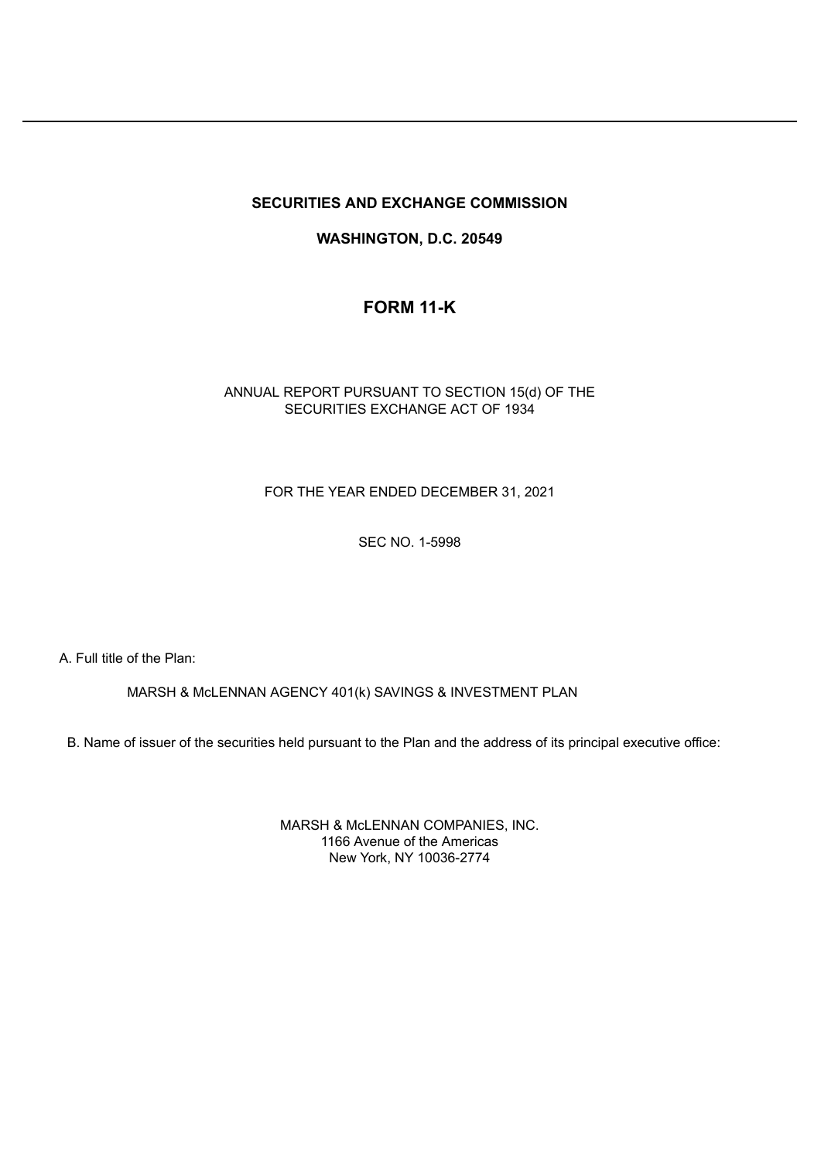## **SECURITIES AND EXCHANGE COMMISSION**

## **WASHINGTON, D.C. 20549**

# **FORM 11-K**

## ANNUAL REPORT PURSUANT TO SECTION 15(d) OF THE SECURITIES EXCHANGE ACT OF 1934

## FOR THE YEAR ENDED DECEMBER 31, 2021

## SEC NO. 1-5998

A. Full title of the Plan:

MARSH & McLENNAN AGENCY 401(k) SAVINGS & INVESTMENT PLAN

B. Name of issuer of the securities held pursuant to the Plan and the address of its principal executive office:

MARSH & McLENNAN COMPANIES, INC. 1166 Avenue of the Americas New York, NY 10036-2774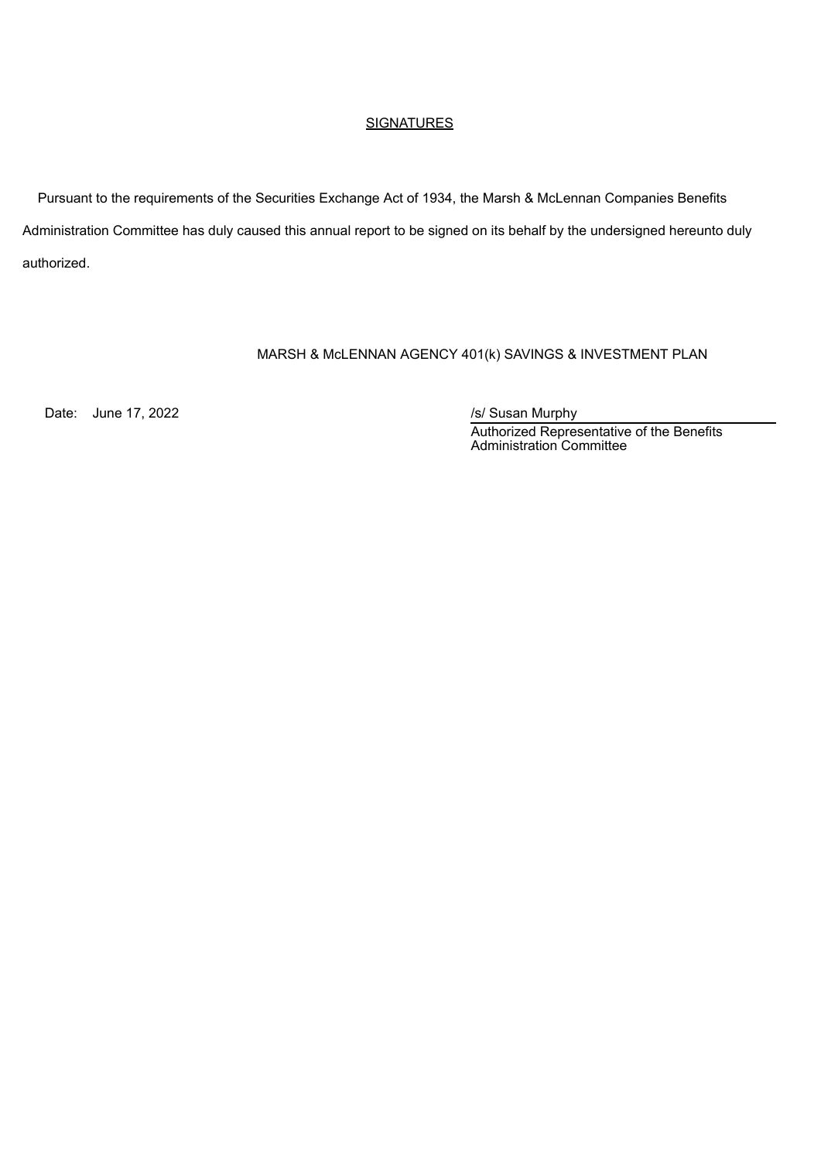### **SIGNATURES**

Pursuant to the requirements of the Securities Exchange Act of 1934, the Marsh & McLennan Companies Benefits Administration Committee has duly caused this annual report to be signed on its behalf by the undersigned hereunto duly authorized.

## MARSH & McLENNAN AGENCY 401(k) SAVINGS & INVESTMENT PLAN

Date: June 17, 2022 *Date: June 17, 2022* 

Authorized Representative of the Benefits Administration Committee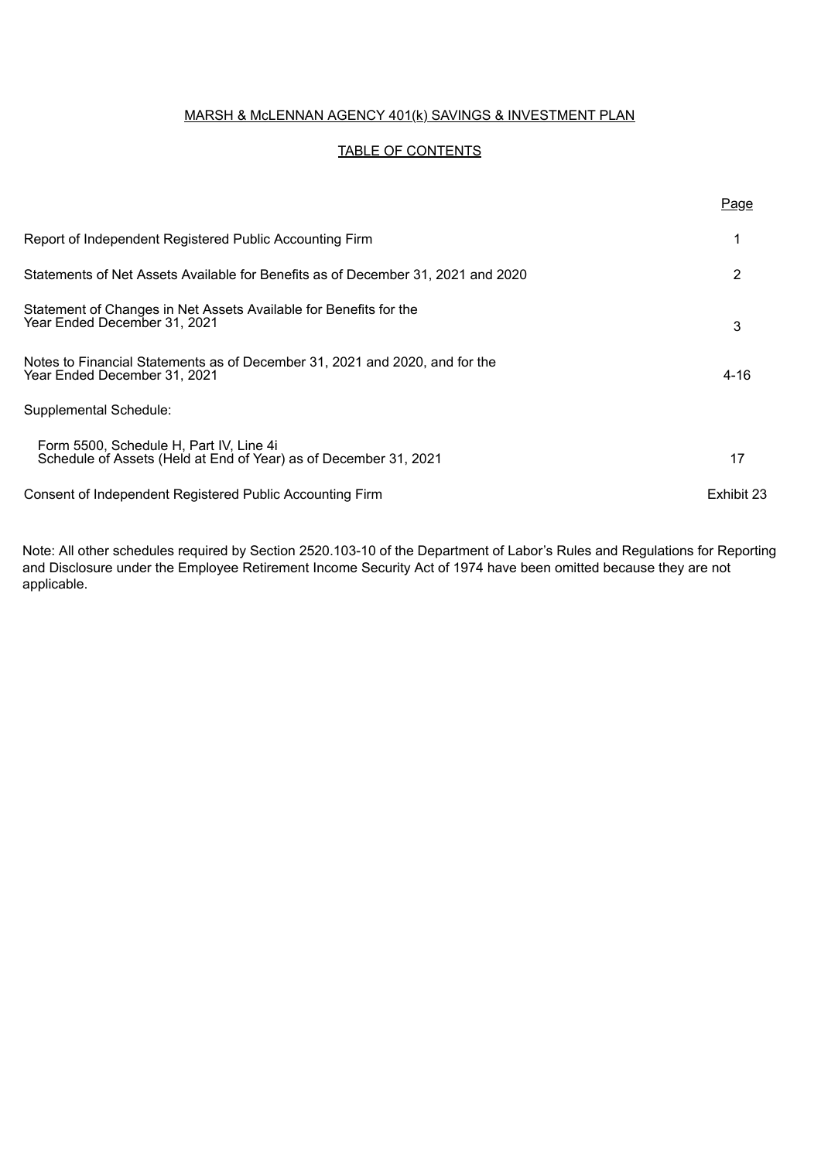## MARSH & McLENNAN AGENCY 401(k) SAVINGS & INVESTMENT PLAN

## TABLE OF CONTENTS

|                                                                                                             | Page       |
|-------------------------------------------------------------------------------------------------------------|------------|
| Report of Independent Registered Public Accounting Firm                                                     |            |
| Statements of Net Assets Available for Benefits as of December 31, 2021 and 2020                            | 2          |
| Statement of Changes in Net Assets Available for Benefits for the<br>Year Ended December 31, 2021           | 3          |
| Notes to Financial Statements as of December 31, 2021 and 2020, and for the<br>Year Ended December 31, 2021 | 4-16       |
| Supplemental Schedule:                                                                                      |            |
| Form 5500, Schedule H, Part IV, Line 4i<br>Schedule of Assets (Held at End of Year) as of December 31, 2021 | 17         |
| Consent of Independent Registered Public Accounting Firm                                                    | Exhibit 23 |

Note: All other schedules required by Section 2520.103-10 of the Department of Labor's Rules and Regulations for Reporting and Disclosure under the Employee Retirement Income Security Act of 1974 have been omitted because they are not applicable.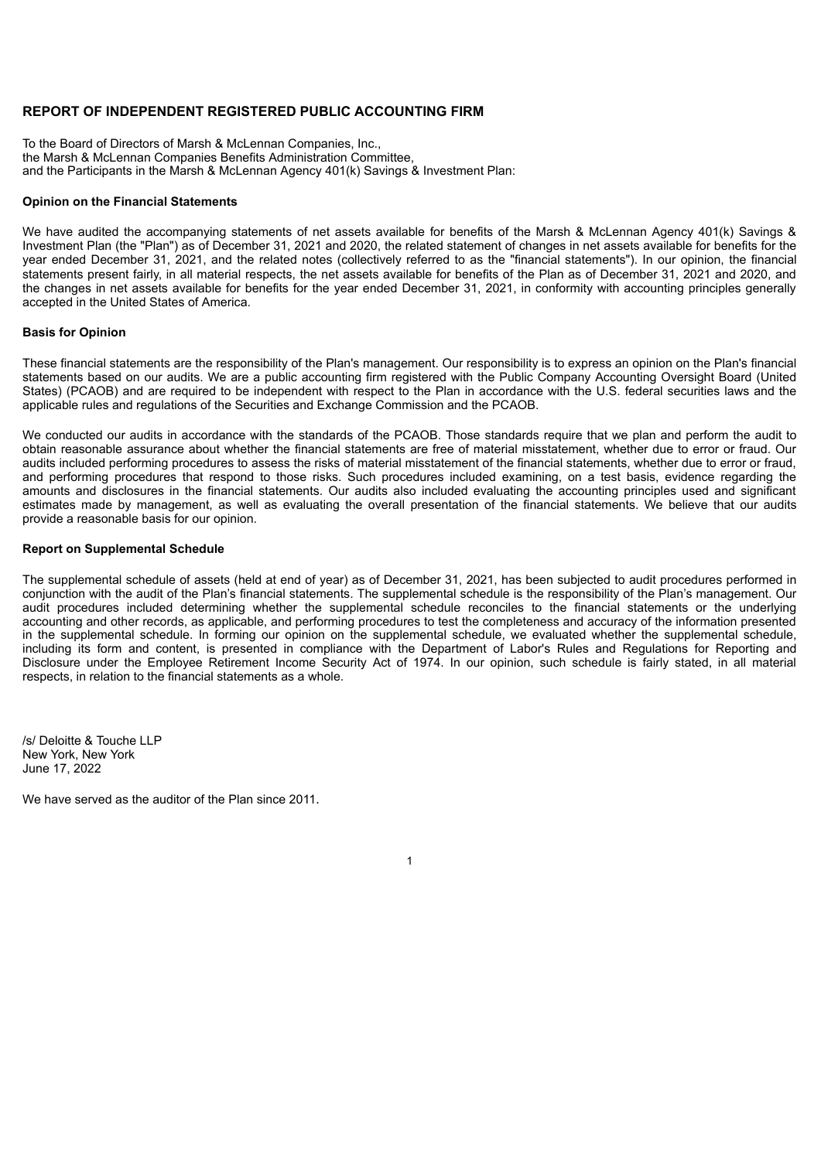#### **REPORT OF INDEPENDENT REGISTERED PUBLIC ACCOUNTING FIRM**

To the Board of Directors of Marsh & McLennan Companies, Inc., the Marsh & McLennan Companies Benefits Administration Committee, and the Participants in the Marsh & McLennan Agency 401(k) Savings & Investment Plan:

#### **Opinion on the Financial Statements**

We have audited the accompanying statements of net assets available for benefits of the Marsh & McLennan Agency 401(k) Savings & Investment Plan (the "Plan") as of December 31, 2021 and 2020, the related statement of changes in net assets available for benefits for the year ended December 31, 2021, and the related notes (collectively referred to as the "financial statements"). In our opinion, the financial statements present fairly, in all material respects, the net assets available for benefits of the Plan as of December 31, 2021 and 2020, and the changes in net assets available for benefits for the year ended December 31, 2021, in conformity with accounting principles generally accepted in the United States of America.

#### **Basis for Opinion**

These financial statements are the responsibility of the Plan's management. Our responsibility is to express an opinion on the Plan's financial statements based on our audits. We are a public accounting firm registered with the Public Company Accounting Oversight Board (United States) (PCAOB) and are required to be independent with respect to the Plan in accordance with the U.S. federal securities laws and the applicable rules and regulations of the Securities and Exchange Commission and the PCAOB.

We conducted our audits in accordance with the standards of the PCAOB. Those standards require that we plan and perform the audit to obtain reasonable assurance about whether the financial statements are free of material misstatement, whether due to error or fraud. Our audits included performing procedures to assess the risks of material misstatement of the financial statements, whether due to error or fraud, and performing procedures that respond to those risks. Such procedures included examining, on a test basis, evidence regarding the amounts and disclosures in the financial statements. Our audits also included evaluating the accounting principles used and significant estimates made by management, as well as evaluating the overall presentation of the financial statements. We believe that our audits provide a reasonable basis for our opinion.

#### **Report on Supplemental Schedule**

The supplemental schedule of assets (held at end of year) as of December 31, 2021, has been subjected to audit procedures performed in conjunction with the audit of the Plan's financial statements. The supplemental schedule is the responsibility of the Plan's management. Our audit procedures included determining whether the supplemental schedule reconciles to the financial statements or the underlying accounting and other records, as applicable, and performing procedures to test the completeness and accuracy of the information presented in the supplemental schedule. In forming our opinion on the supplemental schedule, we evaluated whether the supplemental schedule, including its form and content, is presented in compliance with the Department of Labor's Rules and Regulations for Reporting and Disclosure under the Employee Retirement Income Security Act of 1974. In our opinion, such schedule is fairly stated, in all material respects, in relation to the financial statements as a whole.

1

/s/ Deloitte & Touche LLP New York, New York June 17, 2022

We have served as the auditor of the Plan since 2011.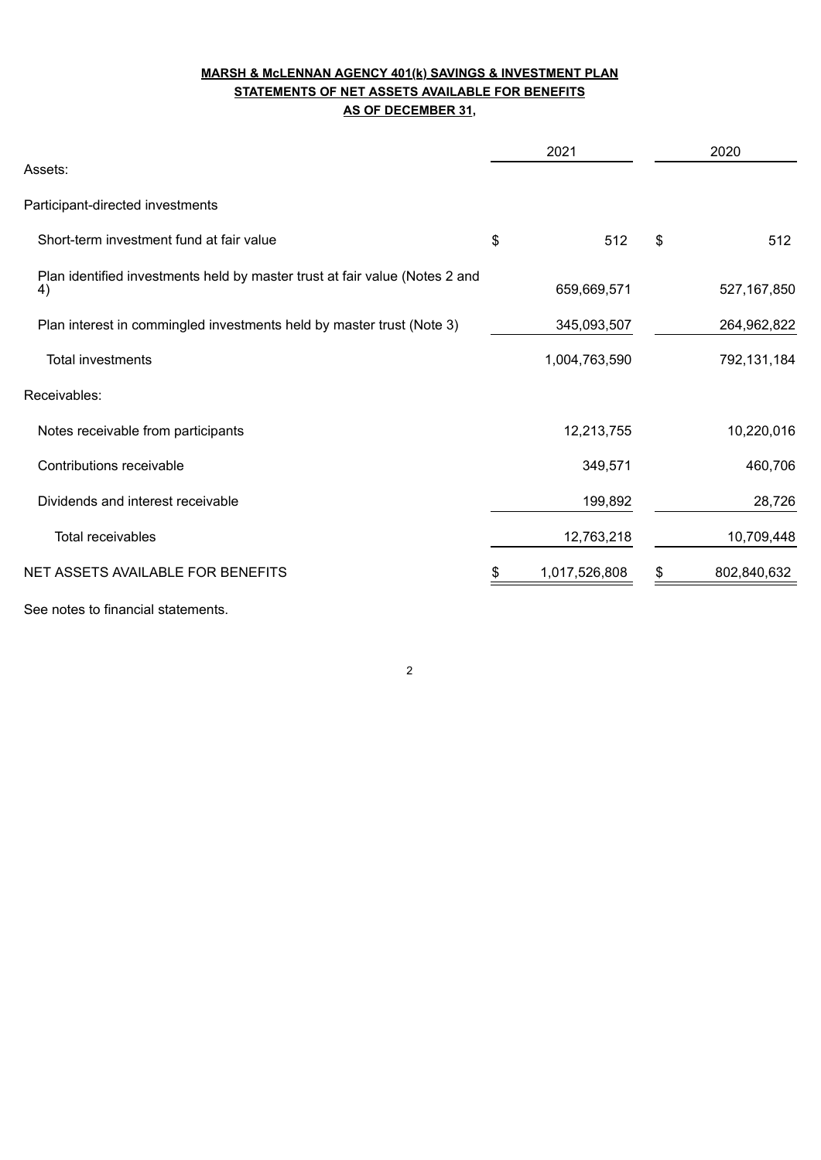## **MARSH & McLENNAN AGENCY 401(k) SAVINGS & INVESTMENT PLAN STATEMENTS OF NET ASSETS AVAILABLE FOR BENEFITS AS OF DECEMBER 31,**

|                                                                                   | 2021          | 2020              |
|-----------------------------------------------------------------------------------|---------------|-------------------|
| Assets:                                                                           |               |                   |
| Participant-directed investments                                                  |               |                   |
| Short-term investment fund at fair value                                          | \$<br>512     | \$<br>512         |
| Plan identified investments held by master trust at fair value (Notes 2 and<br>4) | 659,669,571   | 527, 167, 850     |
| Plan interest in commingled investments held by master trust (Note 3)             | 345,093,507   | 264,962,822       |
| <b>Total investments</b>                                                          | 1,004,763,590 | 792,131,184       |
| Receivables:                                                                      |               |                   |
| Notes receivable from participants                                                | 12,213,755    | 10,220,016        |
| Contributions receivable                                                          | 349,571       | 460,706           |
| Dividends and interest receivable                                                 | 199,892       | 28,726            |
| <b>Total receivables</b>                                                          | 12,763,218    | 10,709,448        |
| NET ASSETS AVAILABLE FOR BENEFITS                                                 | 1,017,526,808 | \$<br>802,840,632 |
| See notes to financial statements.                                                |               |                   |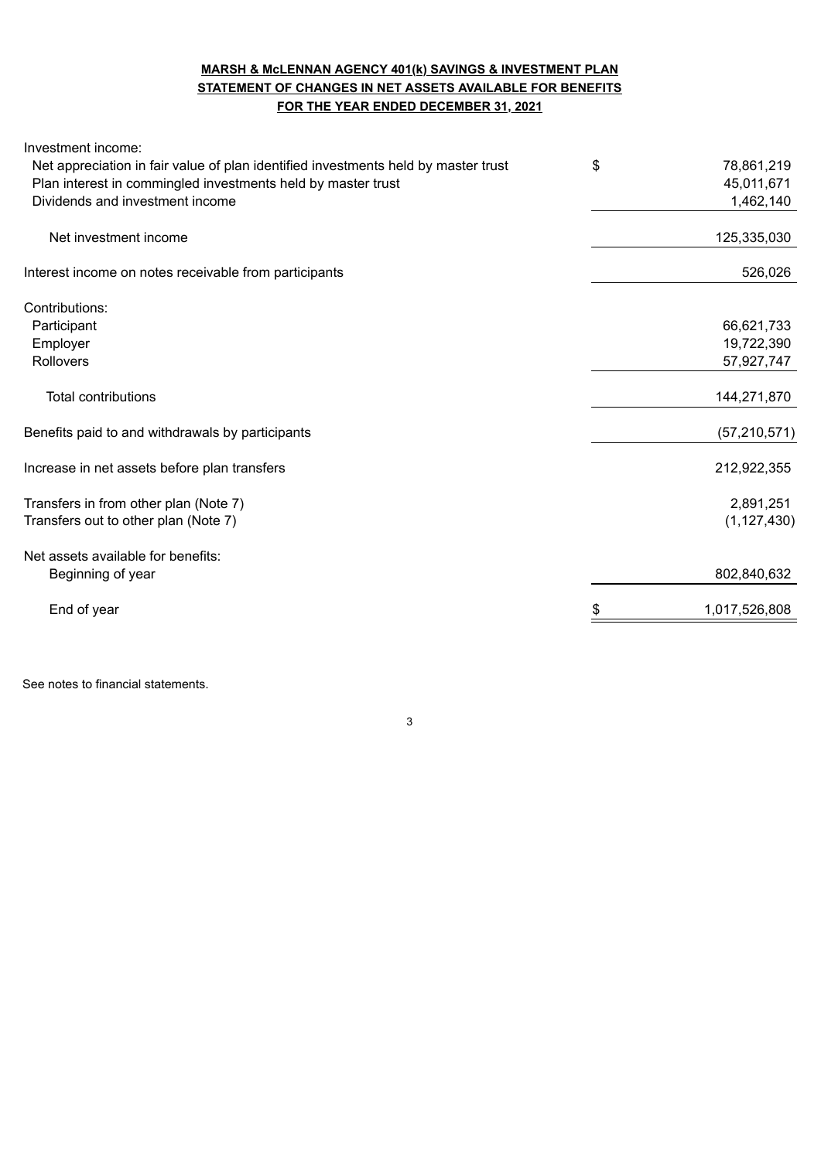## **MARSH & McLENNAN AGENCY 401(k) SAVINGS & INVESTMENT PLAN STATEMENT OF CHANGES IN NET ASSETS AVAILABLE FOR BENEFITS FOR THE YEAR ENDED DECEMBER 31, 2021**

| Investment income:                                                                 |                  |
|------------------------------------------------------------------------------------|------------------|
| Net appreciation in fair value of plan identified investments held by master trust | \$<br>78,861,219 |
| Plan interest in commingled investments held by master trust                       | 45,011,671       |
| Dividends and investment income                                                    | 1,462,140        |
| Net investment income                                                              | 125,335,030      |
| Interest income on notes receivable from participants                              | 526,026          |
|                                                                                    |                  |
| Contributions:                                                                     |                  |
| Participant                                                                        | 66,621,733       |
| Employer                                                                           | 19,722,390       |
| Rollovers                                                                          | 57,927,747       |
| <b>Total contributions</b>                                                         | 144,271,870      |
| Benefits paid to and withdrawals by participants                                   | (57, 210, 571)   |
| Increase in net assets before plan transfers                                       | 212,922,355      |
| Transfers in from other plan (Note 7)                                              | 2,891,251        |
| Transfers out to other plan (Note 7)                                               | (1, 127, 430)    |
| Net assets available for benefits:                                                 |                  |
| Beginning of year                                                                  | 802,840,632      |
| End of year                                                                        | 1,017,526,808    |
|                                                                                    |                  |

3

See notes to financial statements.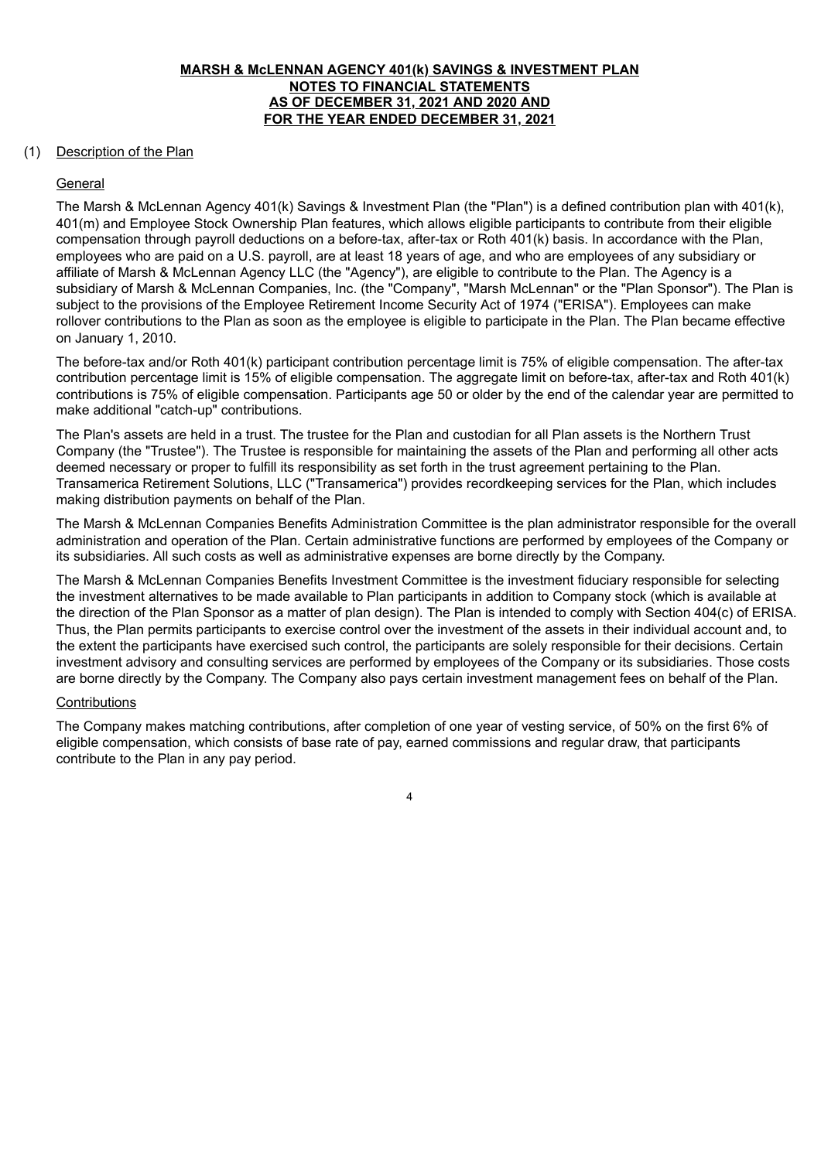### **MARSH & McLENNAN AGENCY 401(k) SAVINGS & INVESTMENT PLAN NOTES TO FINANCIAL STATEMENTS AS OF DECEMBER 31, 2021 AND 2020 AND FOR THE YEAR ENDED DECEMBER 31, 2021**

### (1) Description of the Plan

### General

The Marsh & McLennan Agency 401(k) Savings & Investment Plan (the "Plan") is a defined contribution plan with 401(k), 401(m) and Employee Stock Ownership Plan features, which allows eligible participants to contribute from their eligible compensation through payroll deductions on a before-tax, after-tax or Roth 401(k) basis. In accordance with the Plan, employees who are paid on a U.S. payroll, are at least 18 years of age, and who are employees of any subsidiary or affiliate of Marsh & McLennan Agency LLC (the "Agency"), are eligible to contribute to the Plan. The Agency is a subsidiary of Marsh & McLennan Companies, Inc. (the "Company", "Marsh McLennan" or the "Plan Sponsor"). The Plan is subject to the provisions of the Employee Retirement Income Security Act of 1974 ("ERISA"). Employees can make rollover contributions to the Plan as soon as the employee is eligible to participate in the Plan. The Plan became effective on January 1, 2010.

The before-tax and/or Roth 401(k) participant contribution percentage limit is 75% of eligible compensation. The after-tax contribution percentage limit is 15% of eligible compensation. The aggregate limit on before-tax, after-tax and Roth 401(k) contributions is 75% of eligible compensation. Participants age 50 or older by the end of the calendar year are permitted to make additional "catch-up" contributions.

The Plan's assets are held in a trust. The trustee for the Plan and custodian for all Plan assets is the Northern Trust Company (the "Trustee"). The Trustee is responsible for maintaining the assets of the Plan and performing all other acts deemed necessary or proper to fulfill its responsibility as set forth in the trust agreement pertaining to the Plan. Transamerica Retirement Solutions, LLC ("Transamerica") provides recordkeeping services for the Plan, which includes making distribution payments on behalf of the Plan.

The Marsh & McLennan Companies Benefits Administration Committee is the plan administrator responsible for the overall administration and operation of the Plan. Certain administrative functions are performed by employees of the Company or its subsidiaries. All such costs as well as administrative expenses are borne directly by the Company.

The Marsh & McLennan Companies Benefits Investment Committee is the investment fiduciary responsible for selecting the investment alternatives to be made available to Plan participants in addition to Company stock (which is available at the direction of the Plan Sponsor as a matter of plan design). The Plan is intended to comply with Section 404(c) of ERISA. Thus, the Plan permits participants to exercise control over the investment of the assets in their individual account and, to the extent the participants have exercised such control, the participants are solely responsible for their decisions. Certain investment advisory and consulting services are performed by employees of the Company or its subsidiaries. Those costs are borne directly by the Company. The Company also pays certain investment management fees on behalf of the Plan.

#### **Contributions**

The Company makes matching contributions, after completion of one year of vesting service, of 50% on the first 6% of eligible compensation, which consists of base rate of pay, earned commissions and regular draw, that participants contribute to the Plan in any pay period.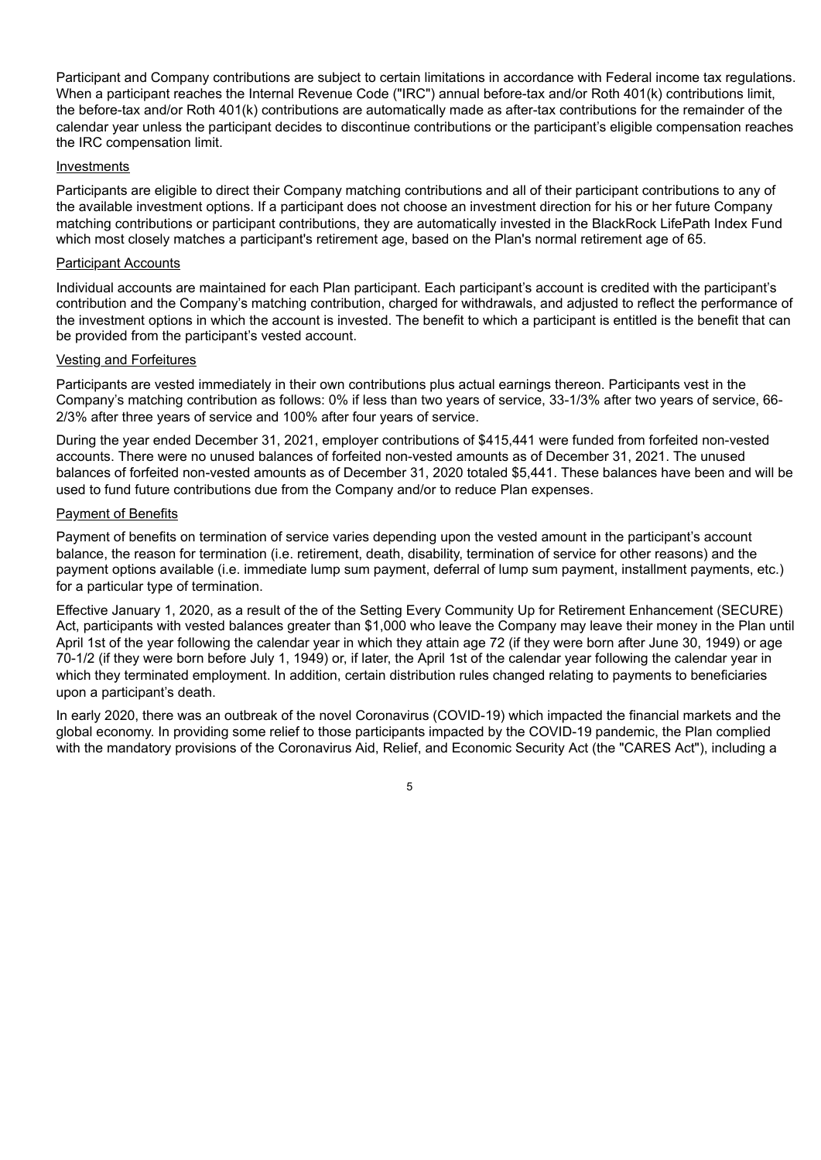Participant and Company contributions are subject to certain limitations in accordance with Federal income tax regulations. When a participant reaches the Internal Revenue Code ("IRC") annual before-tax and/or Roth 401(k) contributions limit, the before-tax and/or Roth 401(k) contributions are automatically made as after-tax contributions for the remainder of the calendar year unless the participant decides to discontinue contributions or the participant's eligible compensation reaches the IRC compensation limit.

#### Investments

Participants are eligible to direct their Company matching contributions and all of their participant contributions to any of the available investment options. If a participant does not choose an investment direction for his or her future Company matching contributions or participant contributions, they are automatically invested in the BlackRock LifePath Index Fund which most closely matches a participant's retirement age, based on the Plan's normal retirement age of 65.

### Participant Accounts

Individual accounts are maintained for each Plan participant. Each participant's account is credited with the participant's contribution and the Company's matching contribution, charged for withdrawals, and adjusted to reflect the performance of the investment options in which the account is invested. The benefit to which a participant is entitled is the benefit that can be provided from the participant's vested account.

#### Vesting and Forfeitures

Participants are vested immediately in their own contributions plus actual earnings thereon. Participants vest in the Company's matching contribution as follows: 0% if less than two years of service, 33-1/3% after two years of service, 66- 2/3% after three years of service and 100% after four years of service.

During the year ended December 31, 2021, employer contributions of \$415,441 were funded from forfeited non-vested accounts. There were no unused balances of forfeited non-vested amounts as of December 31, 2021. The unused balances of forfeited non-vested amounts as of December 31, 2020 totaled \$5,441. These balances have been and will be used to fund future contributions due from the Company and/or to reduce Plan expenses.

#### Payment of Benefits

Payment of benefits on termination of service varies depending upon the vested amount in the participant's account balance, the reason for termination (i.e. retirement, death, disability, termination of service for other reasons) and the payment options available (i.e. immediate lump sum payment, deferral of lump sum payment, installment payments, etc.) for a particular type of termination.

Effective January 1, 2020, as a result of the of the Setting Every Community Up for Retirement Enhancement (SECURE) Act, participants with vested balances greater than \$1,000 who leave the Company may leave their money in the Plan until April 1st of the year following the calendar year in which they attain age 72 (if they were born after June 30, 1949) or age 70-1/2 (if they were born before July 1, 1949) or, if later, the April 1st of the calendar year following the calendar year in which they terminated employment. In addition, certain distribution rules changed relating to payments to beneficiaries upon a participant's death.

In early 2020, there was an outbreak of the novel Coronavirus (COVID-19) which impacted the financial markets and the global economy. In providing some relief to those participants impacted by the COVID-19 pandemic, the Plan complied with the mandatory provisions of the Coronavirus Aid, Relief, and Economic Security Act (the "CARES Act"), including a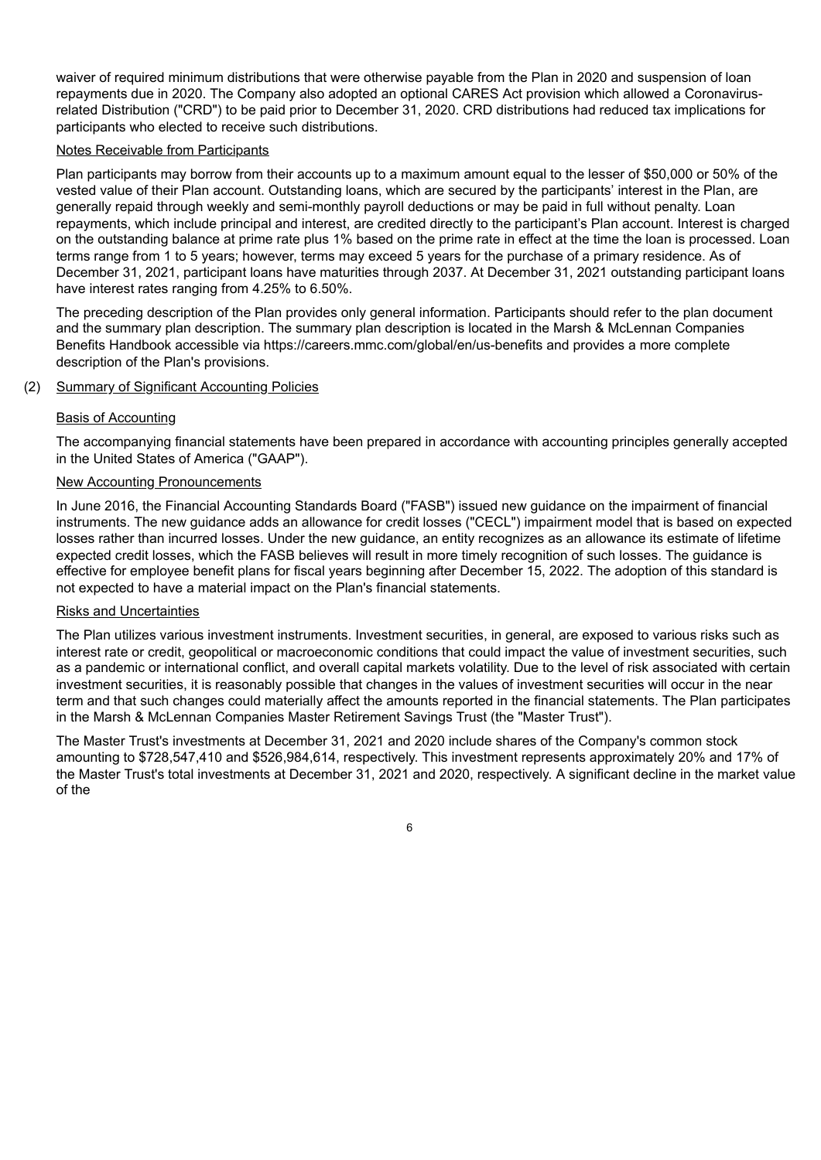waiver of required minimum distributions that were otherwise payable from the Plan in 2020 and suspension of loan repayments due in 2020. The Company also adopted an optional CARES Act provision which allowed a Coronavirusrelated Distribution ("CRD") to be paid prior to December 31, 2020. CRD distributions had reduced tax implications for participants who elected to receive such distributions.

#### Notes Receivable from Participants

Plan participants may borrow from their accounts up to a maximum amount equal to the lesser of \$50,000 or 50% of the vested value of their Plan account. Outstanding loans, which are secured by the participants' interest in the Plan, are generally repaid through weekly and semi-monthly payroll deductions or may be paid in full without penalty. Loan repayments, which include principal and interest, are credited directly to the participant's Plan account. Interest is charged on the outstanding balance at prime rate plus 1% based on the prime rate in effect at the time the loan is processed. Loan terms range from 1 to 5 years; however, terms may exceed 5 years for the purchase of a primary residence. As of December 31, 2021, participant loans have maturities through 2037. At December 31, 2021 outstanding participant loans have interest rates ranging from 4.25% to 6.50%.

The preceding description of the Plan provides only general information. Participants should refer to the plan document and the summary plan description. The summary plan description is located in the Marsh & McLennan Companies Benefits Handbook accessible via https://careers.mmc.com/global/en/us-benefits and provides a more complete description of the Plan's provisions.

### (2) Summary of Significant Accounting Policies

#### Basis of Accounting

The accompanying financial statements have been prepared in accordance with accounting principles generally accepted in the United States of America ("GAAP").

### New Accounting Pronouncements

In June 2016, the Financial Accounting Standards Board ("FASB") issued new guidance on the impairment of financial instruments. The new guidance adds an allowance for credit losses ("CECL") impairment model that is based on expected losses rather than incurred losses. Under the new guidance, an entity recognizes as an allowance its estimate of lifetime expected credit losses, which the FASB believes will result in more timely recognition of such losses. The guidance is effective for employee benefit plans for fiscal years beginning after December 15, 2022. The adoption of this standard is not expected to have a material impact on the Plan's financial statements.

#### Risks and Uncertainties

The Plan utilizes various investment instruments. Investment securities, in general, are exposed to various risks such as interest rate or credit, geopolitical or macroeconomic conditions that could impact the value of investment securities, such as a pandemic or international conflict, and overall capital markets volatility. Due to the level of risk associated with certain investment securities, it is reasonably possible that changes in the values of investment securities will occur in the near term and that such changes could materially affect the amounts reported in the financial statements. The Plan participates in the Marsh & McLennan Companies Master Retirement Savings Trust (the "Master Trust").

The Master Trust's investments at December 31, 2021 and 2020 include shares of the Company's common stock amounting to \$728,547,410 and \$526,984,614, respectively. This investment represents approximately 20% and 17% of the Master Trust's total investments at December 31, 2021 and 2020, respectively. A significant decline in the market value of the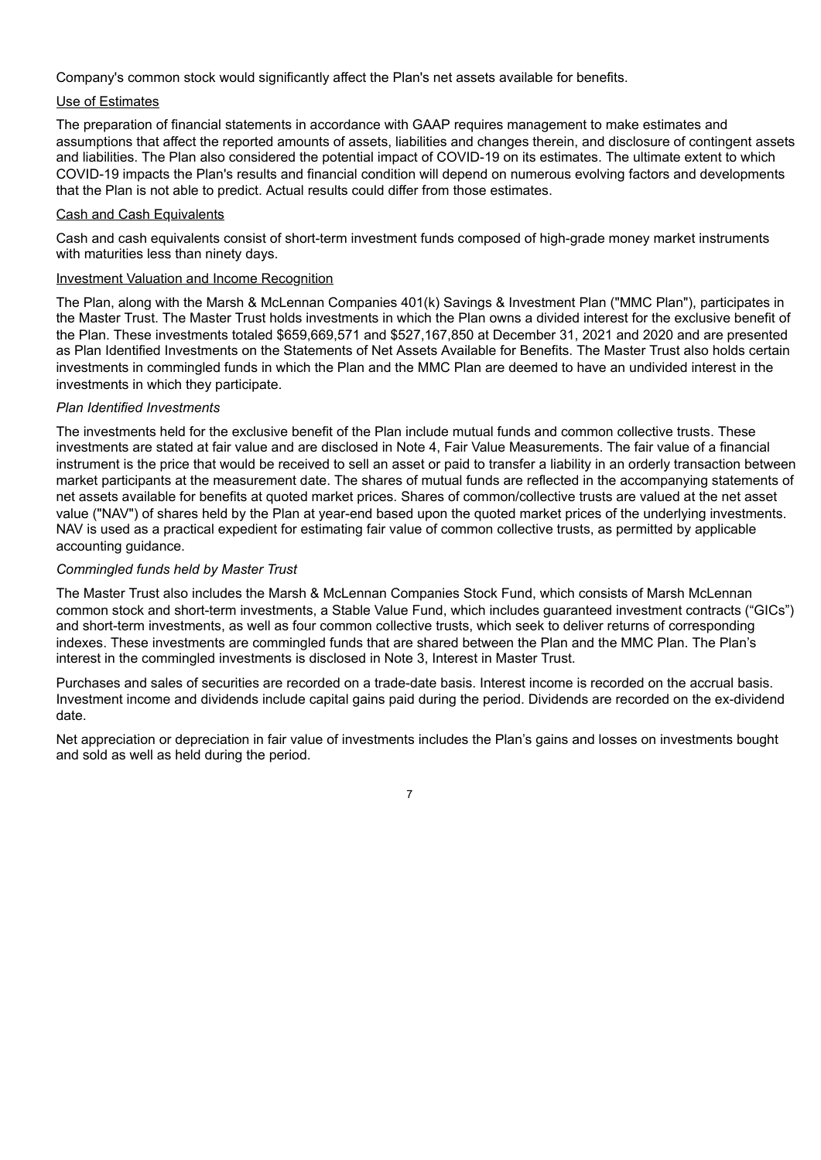Company's common stock would significantly affect the Plan's net assets available for benefits.

### Use of Estimates

The preparation of financial statements in accordance with GAAP requires management to make estimates and assumptions that affect the reported amounts of assets, liabilities and changes therein, and disclosure of contingent assets and liabilities. The Plan also considered the potential impact of COVID-19 on its estimates. The ultimate extent to which COVID-19 impacts the Plan's results and financial condition will depend on numerous evolving factors and developments that the Plan is not able to predict. Actual results could differ from those estimates.

### Cash and Cash Equivalents

Cash and cash equivalents consist of short-term investment funds composed of high-grade money market instruments with maturities less than ninety days.

#### Investment Valuation and Income Recognition

The Plan, along with the Marsh & McLennan Companies 401(k) Savings & Investment Plan ("MMC Plan"), participates in the Master Trust. The Master Trust holds investments in which the Plan owns a divided interest for the exclusive benefit of the Plan. These investments totaled \$659,669,571 and \$527,167,850 at December 31, 2021 and 2020 and are presented as Plan Identified Investments on the Statements of Net Assets Available for Benefits. The Master Trust also holds certain investments in commingled funds in which the Plan and the MMC Plan are deemed to have an undivided interest in the investments in which they participate.

#### *Plan Identified Investments*

The investments held for the exclusive benefit of the Plan include mutual funds and common collective trusts. These investments are stated at fair value and are disclosed in Note 4, Fair Value Measurements. The fair value of a financial instrument is the price that would be received to sell an asset or paid to transfer a liability in an orderly transaction between market participants at the measurement date. The shares of mutual funds are reflected in the accompanying statements of net assets available for benefits at quoted market prices. Shares of common/collective trusts are valued at the net asset value ("NAV") of shares held by the Plan at year-end based upon the quoted market prices of the underlying investments. NAV is used as a practical expedient for estimating fair value of common collective trusts, as permitted by applicable accounting guidance.

### *Commingled funds held by Master Trust*

The Master Trust also includes the Marsh & McLennan Companies Stock Fund, which consists of Marsh McLennan common stock and short-term investments, a Stable Value Fund, which includes guaranteed investment contracts ("GICs") and short-term investments, as well as four common collective trusts, which seek to deliver returns of corresponding indexes. These investments are commingled funds that are shared between the Plan and the MMC Plan. The Plan's interest in the commingled investments is disclosed in Note 3, Interest in Master Trust.

Purchases and sales of securities are recorded on a trade-date basis. Interest income is recorded on the accrual basis. Investment income and dividends include capital gains paid during the period. Dividends are recorded on the ex-dividend date.

Net appreciation or depreciation in fair value of investments includes the Plan's gains and losses on investments bought and sold as well as held during the period.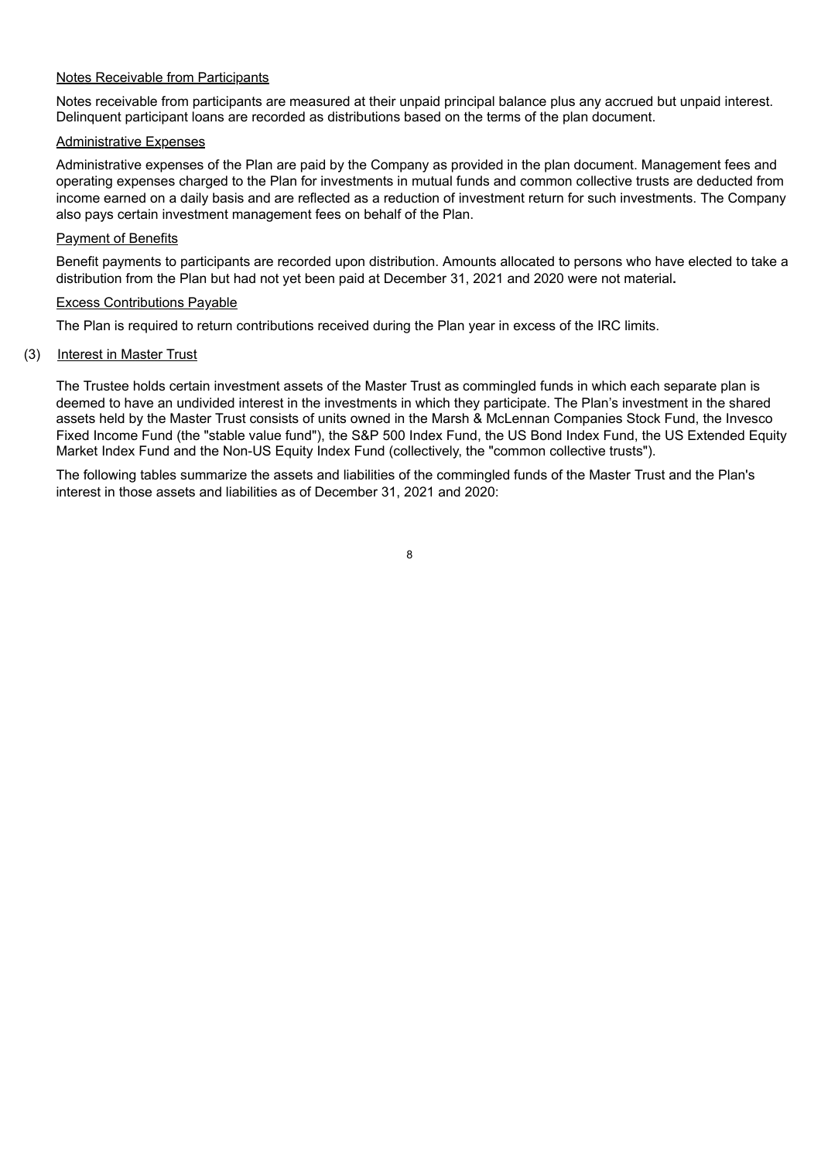#### Notes Receivable from Participants

Notes receivable from participants are measured at their unpaid principal balance plus any accrued but unpaid interest. Delinquent participant loans are recorded as distributions based on the terms of the plan document.

### Administrative Expenses

Administrative expenses of the Plan are paid by the Company as provided in the plan document. Management fees and operating expenses charged to the Plan for investments in mutual funds and common collective trusts are deducted from income earned on a daily basis and are reflected as a reduction of investment return for such investments. The Company also pays certain investment management fees on behalf of the Plan.

#### Payment of Benefits

Benefit payments to participants are recorded upon distribution. Amounts allocated to persons who have elected to take a distribution from the Plan but had not yet been paid at December 31, 2021 and 2020 were not material**.**

#### Excess Contributions Payable

The Plan is required to return contributions received during the Plan year in excess of the IRC limits.

#### (3) Interest in Master Trust

The Trustee holds certain investment assets of the Master Trust as commingled funds in which each separate plan is deemed to have an undivided interest in the investments in which they participate. The Plan's investment in the shared assets held by the Master Trust consists of units owned in the Marsh & McLennan Companies Stock Fund, the Invesco Fixed Income Fund (the "stable value fund"), the S&P 500 Index Fund, the US Bond Index Fund, the US Extended Equity Market Index Fund and the Non-US Equity Index Fund (collectively, the "common collective trusts").

The following tables summarize the assets and liabilities of the commingled funds of the Master Trust and the Plan's interest in those assets and liabilities as of December 31, 2021 and 2020: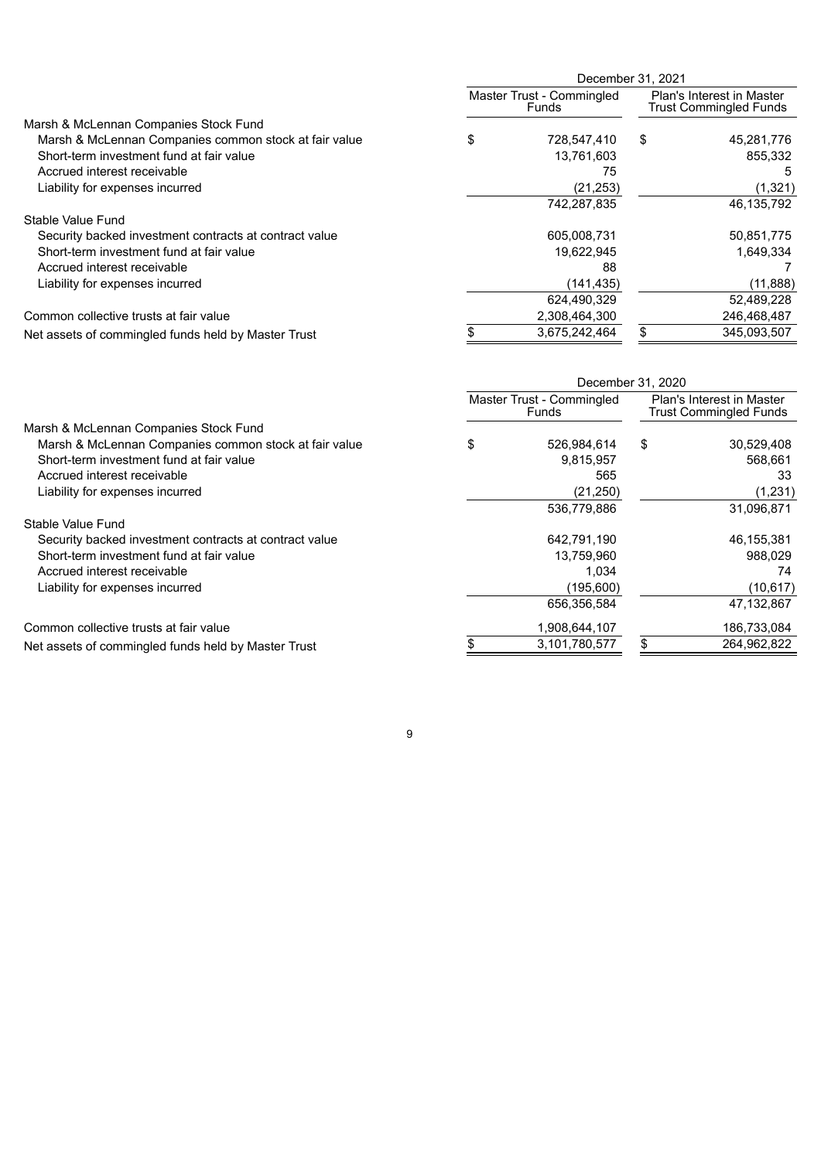|                                                        | December 31, 2021 |                                    |    |                                                            |  |
|--------------------------------------------------------|-------------------|------------------------------------|----|------------------------------------------------------------|--|
|                                                        |                   | Master Trust - Commingled<br>Funds |    | Plan's Interest in Master<br><b>Trust Commingled Funds</b> |  |
| Marsh & McLennan Companies Stock Fund                  |                   |                                    |    |                                                            |  |
| Marsh & McLennan Companies common stock at fair value  | \$                | 728,547,410                        | \$ | 45,281,776                                                 |  |
| Short-term investment fund at fair value               |                   | 13,761,603                         |    | 855,332                                                    |  |
| Accrued interest receivable                            |                   | 75                                 |    | 5                                                          |  |
| Liability for expenses incurred                        |                   | (21, 253)                          |    | (1,321)                                                    |  |
|                                                        |                   | 742,287,835                        |    | 46,135,792                                                 |  |
| Stable Value Fund                                      |                   |                                    |    |                                                            |  |
| Security backed investment contracts at contract value |                   | 605,008,731                        |    | 50,851,775                                                 |  |
| Short-term investment fund at fair value               |                   | 19,622,945                         |    | 1,649,334                                                  |  |
| Accrued interest receivable                            |                   | 88                                 |    |                                                            |  |
| Liability for expenses incurred                        |                   | (141,435)                          |    | (11, 888)                                                  |  |
|                                                        |                   | 624,490,329                        |    | 52,489,228                                                 |  |
| Common collective trusts at fair value                 |                   | 2,308,464,300                      |    | 246,468,487                                                |  |
| Net assets of commingled funds held by Master Trust    |                   | 3,675,242,464                      | \$ | 345,093,507                                                |  |

|                                                        | December 31, 2020 |                                    |    |                                                            |  |
|--------------------------------------------------------|-------------------|------------------------------------|----|------------------------------------------------------------|--|
|                                                        |                   | Master Trust - Commingled<br>Funds |    | Plan's Interest in Master<br><b>Trust Commingled Funds</b> |  |
| Marsh & McLennan Companies Stock Fund                  |                   |                                    |    |                                                            |  |
| Marsh & McLennan Companies common stock at fair value  | S                 | 526.984.614                        | \$ | 30,529,408                                                 |  |
| Short-term investment fund at fair value               |                   | 9,815,957                          |    | 568.661                                                    |  |
| Accrued interest receivable                            |                   | 565                                |    | 33                                                         |  |
| Liability for expenses incurred                        |                   | (21, 250)                          |    | (1, 231)                                                   |  |
|                                                        |                   | 536,779,886                        |    | 31,096,871                                                 |  |
| Stable Value Fund                                      |                   |                                    |    |                                                            |  |
| Security backed investment contracts at contract value |                   | 642,791,190                        |    | 46,155,381                                                 |  |
| Short-term investment fund at fair value               |                   | 13,759,960                         |    | 988.029                                                    |  |
| Accrued interest receivable                            |                   | 1,034                              |    | 74                                                         |  |
| Liability for expenses incurred                        |                   | (195,600)                          |    | (10, 617)                                                  |  |
|                                                        |                   | 656,356,584                        |    | 47,132,867                                                 |  |
| Common collective trusts at fair value                 |                   | 1,908,644,107                      |    | 186,733,084                                                |  |
| Net assets of commingled funds held by Master Trust    |                   | 3,101,780,577                      | \$ | 264.962.822                                                |  |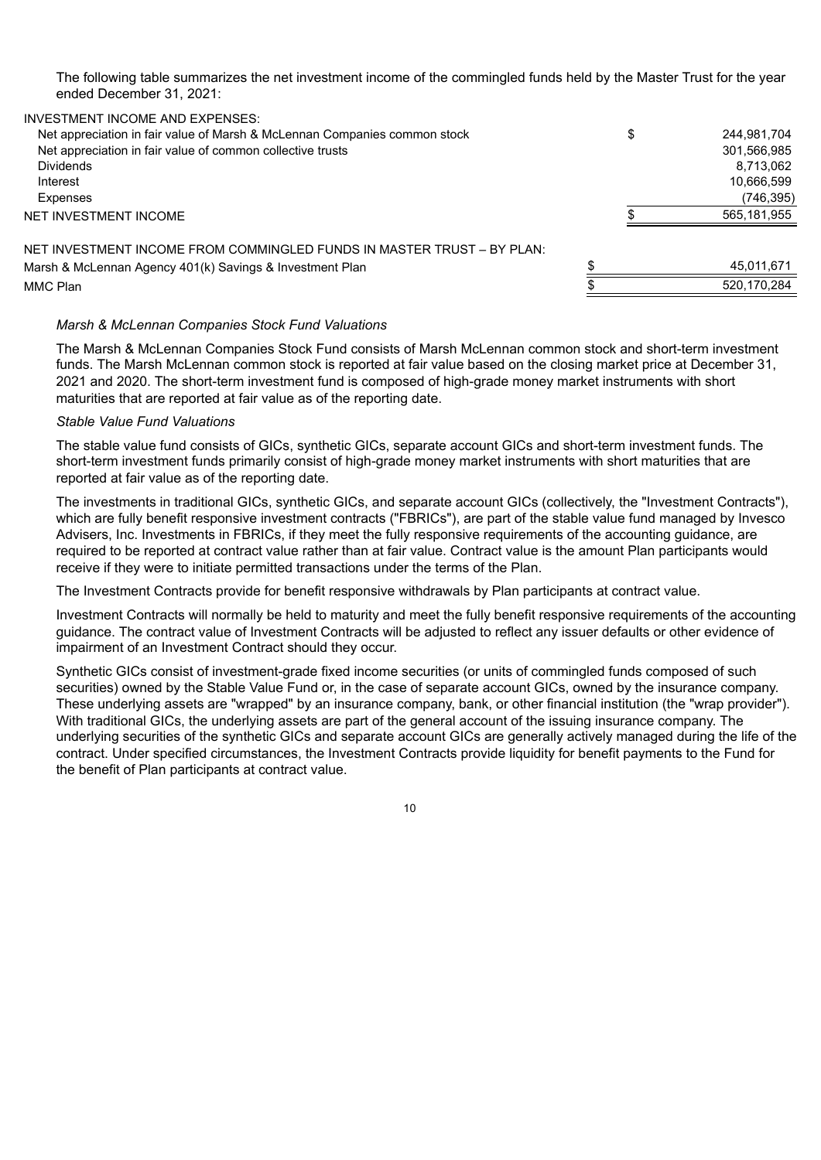The following table summarizes the net investment income of the commingled funds held by the Master Trust for the year ended December 31, 2021:

INVESTMENT INCOME AND EXPENSES:

| Net appreciation in fair value of Marsh & McLennan Companies common stock | \$<br>244,981,704 |
|---------------------------------------------------------------------------|-------------------|
| Net appreciation in fair value of common collective trusts                | 301,566,985       |
| <b>Dividends</b>                                                          | 8.713.062         |
| Interest                                                                  | 10,666,599        |
| Expenses                                                                  | (746,395)         |
| NET INVESTMENT INCOME                                                     | 565,181,955       |
| NET INVESTMENT INCOME FROM COMMINGLED FUNDS IN MASTER TRUST – BY PLAN:    |                   |
| Marsh & McLennan Agency 401(k) Savings & Investment Plan                  | 45.011.671        |
| MMC Plan                                                                  | 520.170.284       |
|                                                                           |                   |

#### *Marsh & McLennan Companies Stock Fund Valuations*

The Marsh & McLennan Companies Stock Fund consists of Marsh McLennan common stock and short-term investment funds. The Marsh McLennan common stock is reported at fair value based on the closing market price at December 31, 2021 and 2020. The short-term investment fund is composed of high-grade money market instruments with short maturities that are reported at fair value as of the reporting date.

#### *Stable Value Fund Valuations*

The stable value fund consists of GICs, synthetic GICs, separate account GICs and short-term investment funds. The short-term investment funds primarily consist of high-grade money market instruments with short maturities that are reported at fair value as of the reporting date.

The investments in traditional GICs, synthetic GICs, and separate account GICs (collectively, the "Investment Contracts"), which are fully benefit responsive investment contracts ("FBRICs"), are part of the stable value fund managed by Invesco Advisers, Inc. Investments in FBRICs, if they meet the fully responsive requirements of the accounting guidance, are required to be reported at contract value rather than at fair value. Contract value is the amount Plan participants would receive if they were to initiate permitted transactions under the terms of the Plan.

The Investment Contracts provide for benefit responsive withdrawals by Plan participants at contract value.

Investment Contracts will normally be held to maturity and meet the fully benefit responsive requirements of the accounting guidance. The contract value of Investment Contracts will be adjusted to reflect any issuer defaults or other evidence of impairment of an Investment Contract should they occur.

Synthetic GICs consist of investment-grade fixed income securities (or units of commingled funds composed of such securities) owned by the Stable Value Fund or, in the case of separate account GICs, owned by the insurance company. These underlying assets are "wrapped" by an insurance company, bank, or other financial institution (the "wrap provider"). With traditional GICs, the underlying assets are part of the general account of the issuing insurance company. The underlying securities of the synthetic GICs and separate account GICs are generally actively managed during the life of the contract. Under specified circumstances, the Investment Contracts provide liquidity for benefit payments to the Fund for the benefit of Plan participants at contract value.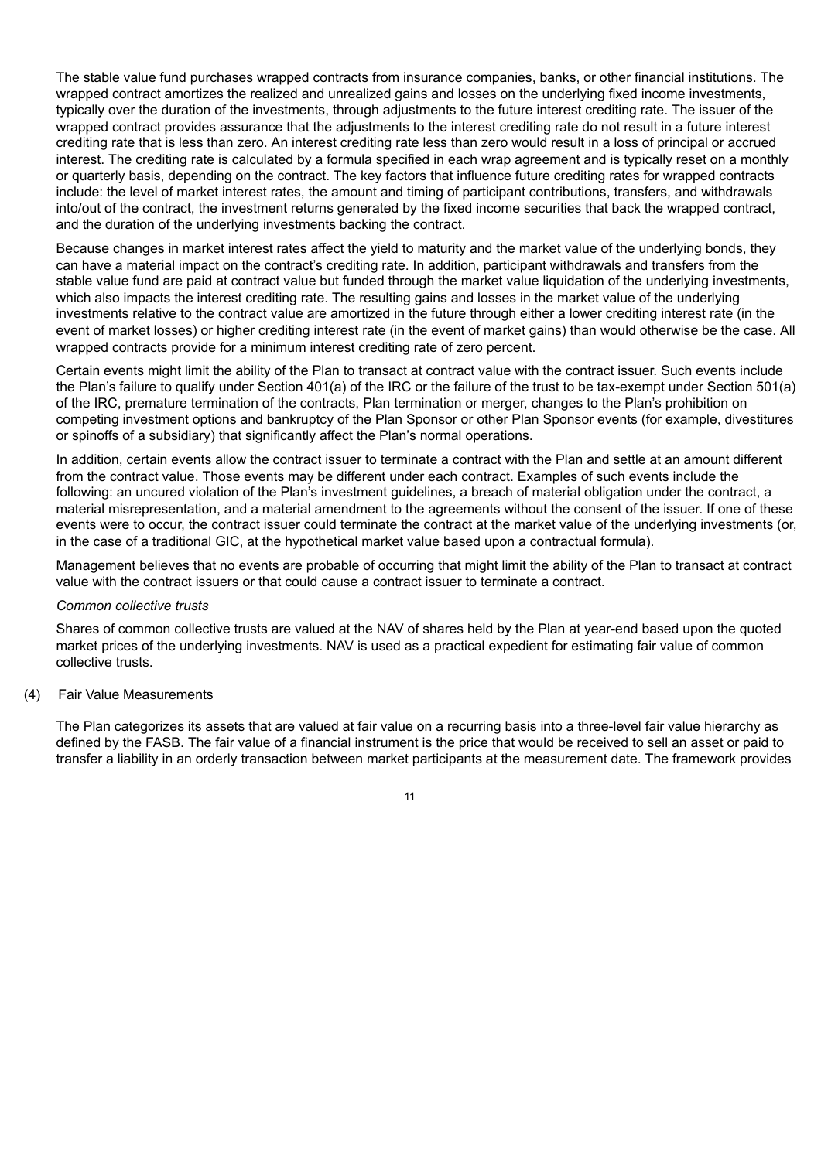The stable value fund purchases wrapped contracts from insurance companies, banks, or other financial institutions. The wrapped contract amortizes the realized and unrealized gains and losses on the underlying fixed income investments, typically over the duration of the investments, through adjustments to the future interest crediting rate. The issuer of the wrapped contract provides assurance that the adjustments to the interest crediting rate do not result in a future interest crediting rate that is less than zero. An interest crediting rate less than zero would result in a loss of principal or accrued interest. The crediting rate is calculated by a formula specified in each wrap agreement and is typically reset on a monthly or quarterly basis, depending on the contract. The key factors that influence future crediting rates for wrapped contracts include: the level of market interest rates, the amount and timing of participant contributions, transfers, and withdrawals into/out of the contract, the investment returns generated by the fixed income securities that back the wrapped contract, and the duration of the underlying investments backing the contract.

Because changes in market interest rates affect the yield to maturity and the market value of the underlying bonds, they can have a material impact on the contract's crediting rate. In addition, participant withdrawals and transfers from the stable value fund are paid at contract value but funded through the market value liquidation of the underlying investments, which also impacts the interest crediting rate. The resulting gains and losses in the market value of the underlying investments relative to the contract value are amortized in the future through either a lower crediting interest rate (in the event of market losses) or higher crediting interest rate (in the event of market gains) than would otherwise be the case. All wrapped contracts provide for a minimum interest crediting rate of zero percent.

Certain events might limit the ability of the Plan to transact at contract value with the contract issuer. Such events include the Plan's failure to qualify under Section 401(a) of the IRC or the failure of the trust to be tax-exempt under Section 501(a) of the IRC, premature termination of the contracts, Plan termination or merger, changes to the Plan's prohibition on competing investment options and bankruptcy of the Plan Sponsor or other Plan Sponsor events (for example, divestitures or spinoffs of a subsidiary) that significantly affect the Plan's normal operations.

In addition, certain events allow the contract issuer to terminate a contract with the Plan and settle at an amount different from the contract value. Those events may be different under each contract. Examples of such events include the following: an uncured violation of the Plan's investment guidelines, a breach of material obligation under the contract, a material misrepresentation, and a material amendment to the agreements without the consent of the issuer. If one of these events were to occur, the contract issuer could terminate the contract at the market value of the underlying investments (or, in the case of a traditional GIC, at the hypothetical market value based upon a contractual formula).

Management believes that no events are probable of occurring that might limit the ability of the Plan to transact at contract value with the contract issuers or that could cause a contract issuer to terminate a contract.

#### *Common collective trusts*

Shares of common collective trusts are valued at the NAV of shares held by the Plan at year-end based upon the quoted market prices of the underlying investments. NAV is used as a practical expedient for estimating fair value of common collective trusts.

#### (4) Fair Value Measurements

The Plan categorizes its assets that are valued at fair value on a recurring basis into a three-level fair value hierarchy as defined by the FASB. The fair value of a financial instrument is the price that would be received to sell an asset or paid to transfer a liability in an orderly transaction between market participants at the measurement date. The framework provides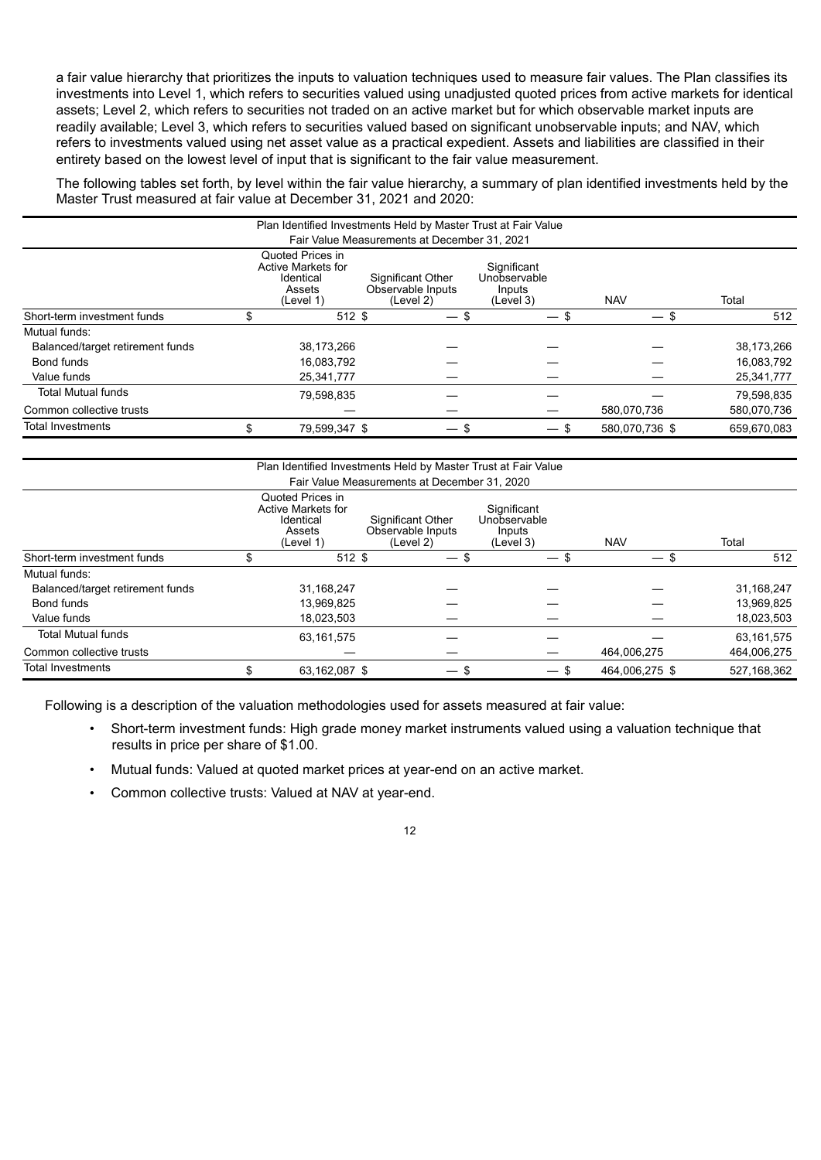a fair value hierarchy that prioritizes the inputs to valuation techniques used to measure fair values. The Plan classifies its investments into Level 1, which refers to securities valued using unadjusted quoted prices from active markets for identical assets; Level 2, which refers to securities not traded on an active market but for which observable market inputs are readily available; Level 3, which refers to securities valued based on significant unobservable inputs; and NAV, which refers to investments valued using net asset value as a practical expedient. Assets and liabilities are classified in their entirety based on the lowest level of input that is significant to the fair value measurement.

The following tables set forth, by level within the fair value hierarchy, a summary of plan identified investments held by the Master Trust measured at fair value at December 31, 2021 and 2020:

| Plan Identified Investments Held by Master Trust at Fair Value |  |                                                                                   |                                                     |                                                    |                |             |  |  |  |  |  |
|----------------------------------------------------------------|--|-----------------------------------------------------------------------------------|-----------------------------------------------------|----------------------------------------------------|----------------|-------------|--|--|--|--|--|
| Fair Value Measurements at December 31, 2021                   |  |                                                                                   |                                                     |                                                    |                |             |  |  |  |  |  |
|                                                                |  | Quoted Prices in<br><b>Active Markets for</b><br>Identical<br>Assets<br>(Level 1) | Significant Other<br>Observable Inputs<br>(Level 2) | Significant<br>Unobservable<br>Inputs<br>(Level 3) | <b>NAV</b>     | Total       |  |  |  |  |  |
| Short-term investment funds                                    |  | $512$ \$                                                                          | — \$                                                |                                                    | $-$ \$         | 512         |  |  |  |  |  |
| Mutual funds:                                                  |  |                                                                                   |                                                     |                                                    |                |             |  |  |  |  |  |
| Balanced/target retirement funds                               |  | 38,173,266                                                                        |                                                     |                                                    |                | 38,173,266  |  |  |  |  |  |
| Bond funds                                                     |  | 16,083,792                                                                        |                                                     |                                                    |                | 16,083,792  |  |  |  |  |  |
| Value funds                                                    |  | 25,341,777                                                                        |                                                     |                                                    |                | 25,341,777  |  |  |  |  |  |
| <b>Total Mutual funds</b>                                      |  | 79,598,835                                                                        |                                                     |                                                    |                | 79,598,835  |  |  |  |  |  |
| Common collective trusts                                       |  |                                                                                   |                                                     |                                                    | 580.070.736    | 580.070.736 |  |  |  |  |  |
| <b>Total Investments</b>                                       |  | 79.599.347 \$                                                                     | $\overline{\phantom{0}}$                            | — \$<br>- \$                                       | 580.070.736 \$ | 659.670.083 |  |  |  |  |  |

| Plan Identified Investments Held by Master Trust at Fair Value                                                                                                                                                        |    |               |        |        |                |               |  |  |  |  |  |
|-----------------------------------------------------------------------------------------------------------------------------------------------------------------------------------------------------------------------|----|---------------|--------|--------|----------------|---------------|--|--|--|--|--|
| Fair Value Measurements at December 31, 2020                                                                                                                                                                          |    |               |        |        |                |               |  |  |  |  |  |
| Quoted Prices in<br><b>Active Markets for</b><br>Significant<br>Unobservable<br>Identical<br>Significant Other<br>Observable Inputs<br>Assets<br>Inputs<br><b>NAV</b><br>Total<br>(Level 2)<br>(Level 3)<br>(Level 1) |    |               |        |        |                |               |  |  |  |  |  |
| Short-term investment funds                                                                                                                                                                                           | \$ | 512 \$        | $-$ \$ | $-$ \$ | $-$ \$         | 512           |  |  |  |  |  |
| Mutual funds:                                                                                                                                                                                                         |    |               |        |        |                |               |  |  |  |  |  |
| Balanced/target retirement funds                                                                                                                                                                                      |    | 31,168,247    |        |        |                | 31,168,247    |  |  |  |  |  |
| Bond funds                                                                                                                                                                                                            |    | 13,969,825    |        |        |                | 13,969,825    |  |  |  |  |  |
| Value funds                                                                                                                                                                                                           |    | 18,023,503    |        |        |                | 18,023,503    |  |  |  |  |  |
| <b>Total Mutual funds</b>                                                                                                                                                                                             |    | 63.161.575    |        |        |                | 63,161,575    |  |  |  |  |  |
| Common collective trusts                                                                                                                                                                                              |    |               |        |        | 464,006,275    | 464,006,275   |  |  |  |  |  |
| <b>Total Investments</b>                                                                                                                                                                                              |    | 63,162,087 \$ | $-$ \$ | $-$ \$ | 464.006.275 \$ | 527, 168, 362 |  |  |  |  |  |

Following is a description of the valuation methodologies used for assets measured at fair value:

- Short-term investment funds: High grade money market instruments valued using a valuation technique that results in price per share of \$1.00.
- Mutual funds: Valued at quoted market prices at year-end on an active market.
- Common collective trusts: Valued at NAV at year-end.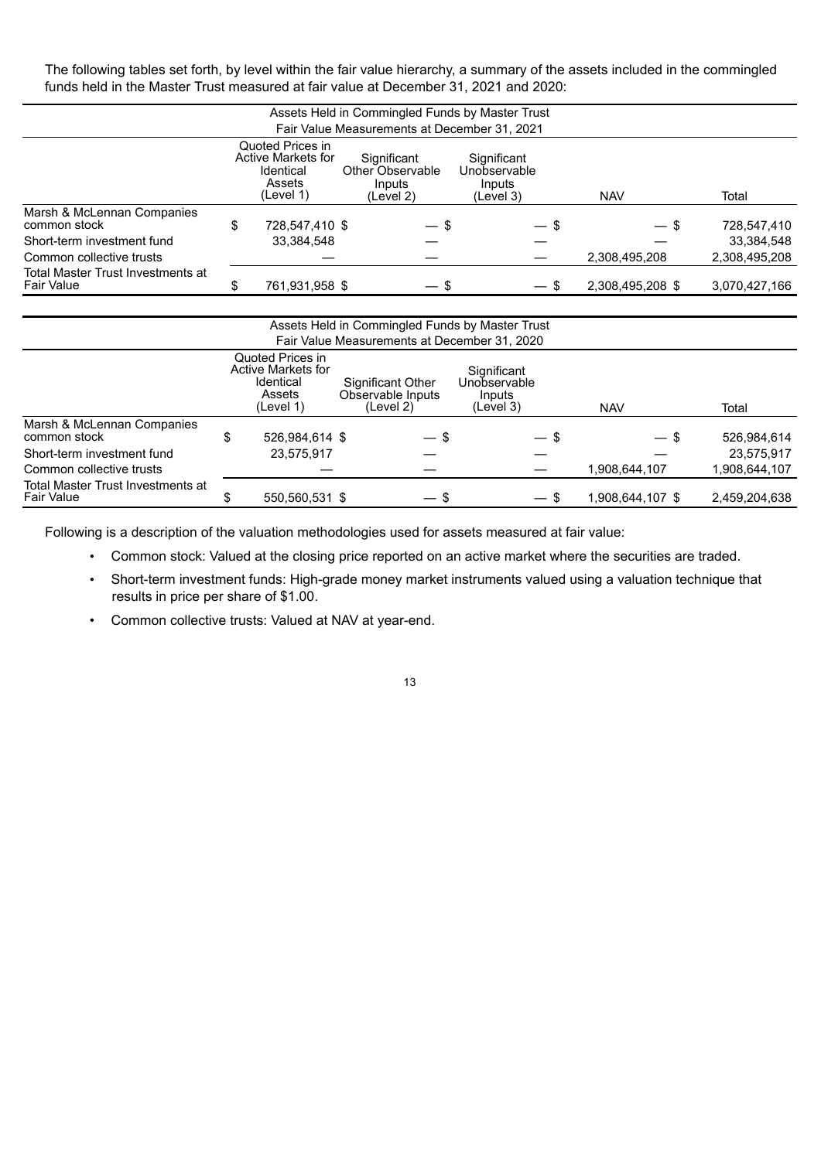The following tables set forth, by level within the fair value hierarchy, a summary of the assets included in the commingled funds held in the Master Trust measured at fair value at December 31, 2021 and 2020:

| Assets Held in Commingled Funds by Master Trust<br>Fair Value Measurements at December 31, 2021                                                                                                                   |    |                |  |        |        |                  |               |  |  |  |  |
|-------------------------------------------------------------------------------------------------------------------------------------------------------------------------------------------------------------------|----|----------------|--|--------|--------|------------------|---------------|--|--|--|--|
| Quoted Prices in<br>Active Markets for<br>Significant<br>Significant<br>Other Observable<br>Unobservable<br>Identical<br>Assets<br>Inputs<br>Inputs<br>(Level 1)<br>Total<br><b>NAV</b><br>(Level 2)<br>(Level 3) |    |                |  |        |        |                  |               |  |  |  |  |
| Marsh & McLennan Companies<br>common stock                                                                                                                                                                        | \$ | 728,547,410 \$ |  | $-$ \$ | $-$ \$ | $-$ \$           | 728,547,410   |  |  |  |  |
| Short-term investment fund                                                                                                                                                                                        |    | 33,384,548     |  |        |        |                  | 33.384.548    |  |  |  |  |
| Common collective trusts                                                                                                                                                                                          |    |                |  |        |        | 2,308,495,208    | 2,308,495,208 |  |  |  |  |
| Total Master Trust Investments at<br>Fair Value                                                                                                                                                                   | \$ | 761,931,958 \$ |  | $-$ \$ | $-$ \$ | 2,308,495,208 \$ | 3,070,427,166 |  |  |  |  |

| Assets Held in Commingled Funds by Master Trust |                                        |                |  |        |  |        |                  |               |  |  |  |  |
|-------------------------------------------------|----------------------------------------|----------------|--|--------|--|--------|------------------|---------------|--|--|--|--|
| Fair Value Measurements at December 31, 2020    |                                        |                |  |        |  |        |                  |               |  |  |  |  |
|                                                 | Quoted Prices in<br>Active Markets for | Total          |  |        |  |        |                  |               |  |  |  |  |
| Marsh & McLennan Companies<br>common stock      | \$                                     | 526,984,614 \$ |  | — \$   |  | $-$ \$ | — \$             | 526,984,614   |  |  |  |  |
| Short-term investment fund                      |                                        | 23,575,917     |  |        |  |        |                  | 23,575,917    |  |  |  |  |
| Common collective trusts                        |                                        |                |  |        |  |        | 1,908,644,107    | 1,908,644,107 |  |  |  |  |
| Total Master Trust Investments at<br>Fair Value |                                        | 550,560,531 \$ |  | $-$ \$ |  | $-$ \$ | 1,908,644,107 \$ | 2,459,204,638 |  |  |  |  |

Following is a description of the valuation methodologies used for assets measured at fair value:

- Common stock: Valued at the closing price reported on an active market where the securities are traded.
- Short-term investment funds: High-grade money market instruments valued using a valuation technique that results in price per share of \$1.00.
- Common collective trusts: Valued at NAV at year-end.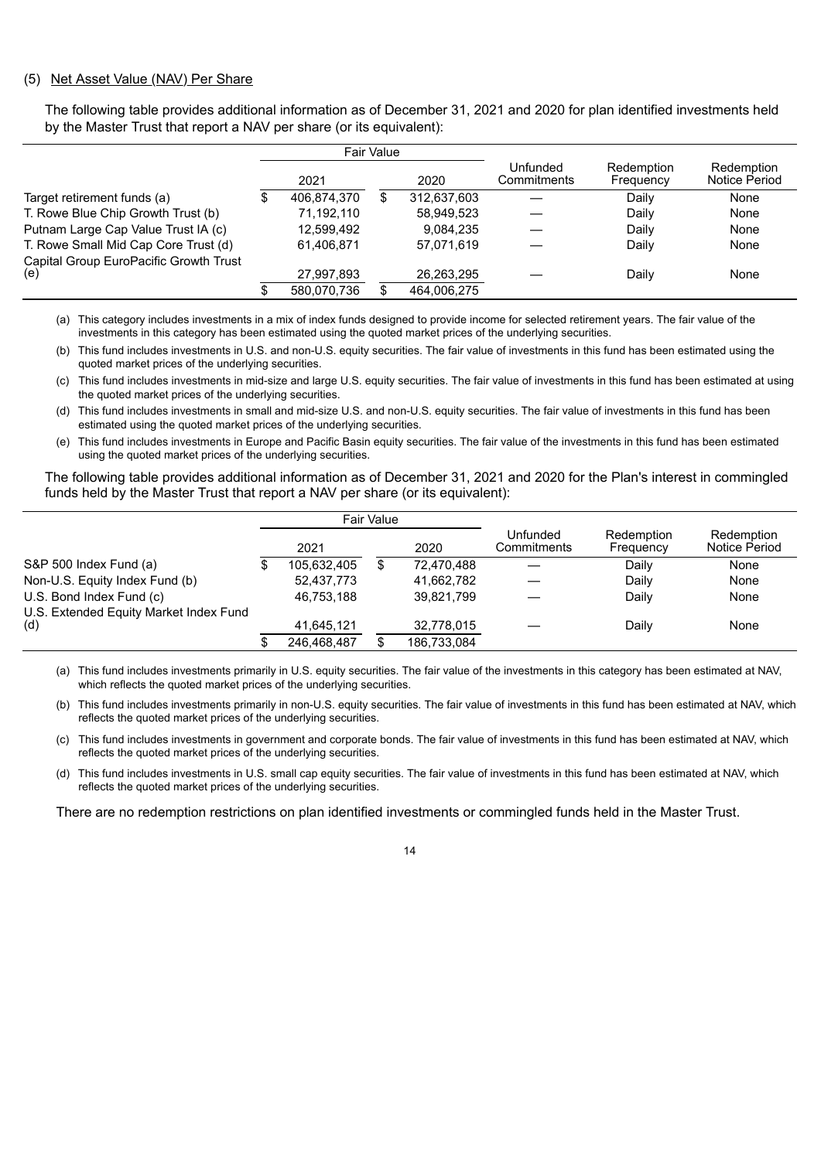#### (5) Net Asset Value (NAV) Per Share

The following table provides additional information as of December 31, 2021 and 2020 for plan identified investments held by the Master Trust that report a NAV per share (or its equivalent):

|                                               |             | Fair Value |             |                         |                         |                             |
|-----------------------------------------------|-------------|------------|-------------|-------------------------|-------------------------|-----------------------------|
|                                               | 2021        |            | 2020        | Unfunded<br>Commitments | Redemption<br>Frequency | Redemption<br>Notice Period |
| Target retirement funds (a)                   | 406.874.370 |            | 312,637,603 |                         | Daily                   | None                        |
| T. Rowe Blue Chip Growth Trust (b)            | 71.192.110  |            | 58,949,523  |                         | Daily                   | None                        |
| Putnam Large Cap Value Trust IA (c)           | 12,599,492  |            | 9.084.235   |                         | Daily                   | None                        |
| T. Rowe Small Mid Cap Core Trust (d)          | 61.406.871  |            | 57.071.619  |                         | Daily                   | None                        |
| Capital Group EuroPacific Growth Trust<br>(e) | 27,997,893  |            | 26,263,295  |                         | Daily                   | None                        |
|                                               | 580,070,736 |            | 464,006,275 |                         |                         |                             |

(a) This category includes investments in a mix of index funds designed to provide income for selected retirement years. The fair value of the investments in this category has been estimated using the quoted market prices of the underlying securities.

(b) This fund includes investments in U.S. and non-U.S. equity securities. The fair value of investments in this fund has been estimated using the quoted market prices of the underlying securities.

(c) This fund includes investments in mid-size and large U.S. equity securities. The fair value of investments in this fund has been estimated at using the quoted market prices of the underlying securities.

(d) This fund includes investments in small and mid-size U.S. and non-U.S. equity securities. The fair value of investments in this fund has been estimated using the quoted market prices of the underlying securities.

(e) This fund includes investments in Europe and Pacific Basin equity securities. The fair value of the investments in this fund has been estimated using the quoted market prices of the underlying securities.

The following table provides additional information as of December 31, 2021 and 2020 for the Plan's interest in commingled funds held by the Master Trust that report a NAV per share (or its equivalent):

|                                        |             | Fair Value |             |                         |                         |                             |
|----------------------------------------|-------------|------------|-------------|-------------------------|-------------------------|-----------------------------|
|                                        | 2021        |            | 2020        | Unfunded<br>Commitments | Redemption<br>Frequency | Redemption<br>Notice Period |
| S&P 500 Index Fund (a)                 | 105,632,405 |            | 72,470,488  |                         | Dailv                   | None                        |
| Non-U.S. Equity Index Fund (b)         | 52,437,773  |            | 41,662,782  |                         | Daily                   | None                        |
| U.S. Bond Index Fund (c)               | 46.753.188  |            | 39.821.799  |                         | Daily                   | None                        |
| U.S. Extended Equity Market Index Fund |             |            |             |                         |                         |                             |
| (d)                                    | 41.645.121  |            | 32.778.015  |                         | Daily                   | None                        |
|                                        | 246.468.487 |            | 186,733,084 |                         |                         |                             |

(a) This fund includes investments primarily in U.S. equity securities. The fair value of the investments in this category has been estimated at NAV, which reflects the quoted market prices of the underlying securities.

(b) This fund includes investments primarily in non-U.S. equity securities. The fair value of investments in this fund has been estimated at NAV, which reflects the quoted market prices of the underlying securities.

(c) This fund includes investments in government and corporate bonds. The fair value of investments in this fund has been estimated at NAV, which reflects the quoted market prices of the underlying securities.

(d) This fund includes investments in U.S. small cap equity securities. The fair value of investments in this fund has been estimated at NAV, which reflects the quoted market prices of the underlying securities.

There are no redemption restrictions on plan identified investments or commingled funds held in the Master Trust.

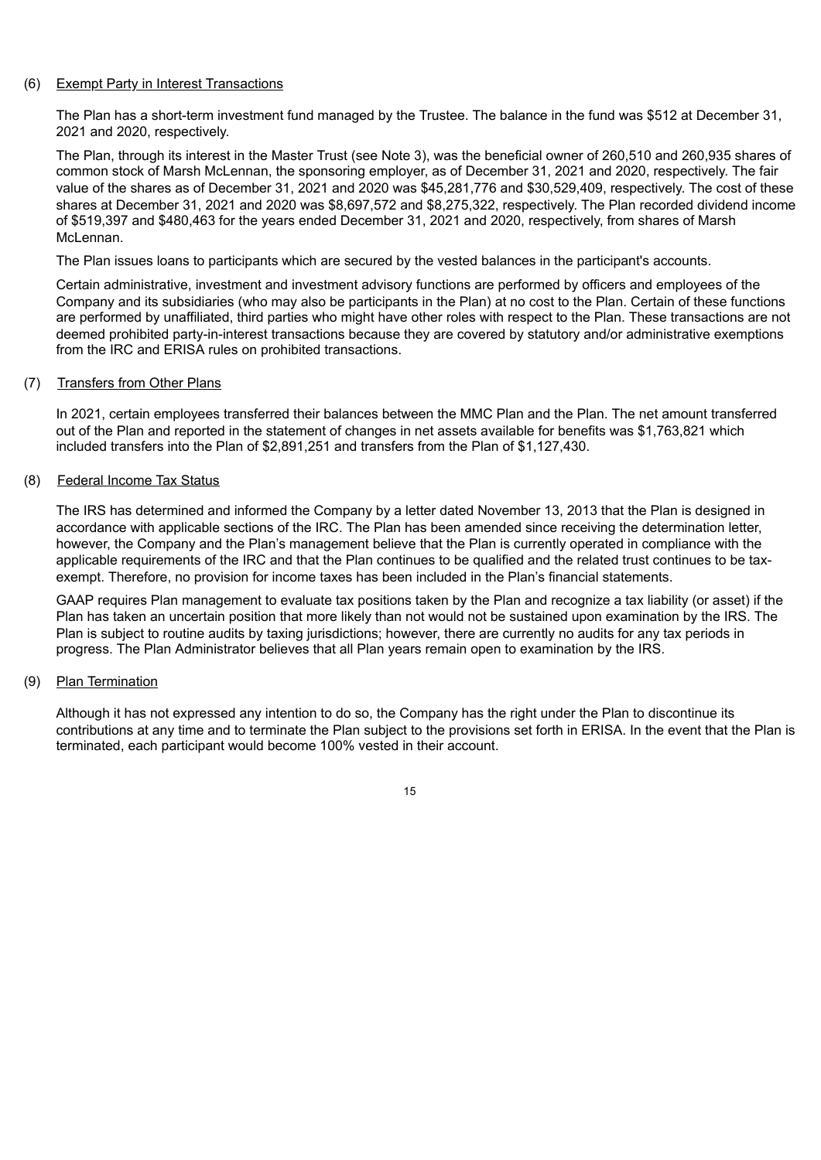#### (6) Exempt Party in Interest Transactions

The Plan has a short-term investment fund managed by the Trustee. The balance in the fund was \$512 at December 31, 2021 and 2020, respectively.

The Plan, through its interest in the Master Trust (see Note 3), was the beneficial owner of 260,510 and 260,935 shares of common stock of Marsh McLennan, the sponsoring employer, as of December 31, 2021 and 2020, respectively. The fair value of the shares as of December 31, 2021 and 2020 was \$45,281,776 and \$30,529,409, respectively. The cost of these shares at December 31, 2021 and 2020 was \$8,697,572 and \$8,275,322, respectively. The Plan recorded dividend income of \$519,397 and \$480,463 for the years ended December 31, 2021 and 2020, respectively, from shares of Marsh McLennan

The Plan issues loans to participants which are secured by the vested balances in the participant's accounts.

Certain administrative, investment and investment advisory functions are performed by officers and employees of the Company and its subsidiaries (who may also be participants in the Plan) at no cost to the Plan. Certain of these functions are performed by unaffiliated, third parties who might have other roles with respect to the Plan. These transactions are not deemed prohibited party-in-interest transactions because they are covered by statutory and/or administrative exemptions from the IRC and ERISA rules on prohibited transactions.

#### (7) Transfers from Other Plans

In 2021, certain employees transferred their balances between the MMC Plan and the Plan. The net amount transferred out of the Plan and reported in the statement of changes in net assets available for benefits was \$1,763,821 which included transfers into the Plan of \$2,891,251 and transfers from the Plan of \$1,127,430.

#### (8) Federal Income Tax Status

The IRS has determined and informed the Company by a letter dated November 13, 2013 that the Plan is designed in accordance with applicable sections of the IRC. The Plan has been amended since receiving the determination letter, however, the Company and the Plan's management believe that the Plan is currently operated in compliance with the applicable requirements of the IRC and that the Plan continues to be qualified and the related trust continues to be taxexempt. Therefore, no provision for income taxes has been included in the Plan's financial statements.

GAAP requires Plan management to evaluate tax positions taken by the Plan and recognize a tax liability (or asset) if the Plan has taken an uncertain position that more likely than not would not be sustained upon examination by the IRS. The Plan is subject to routine audits by taxing jurisdictions; however, there are currently no audits for any tax periods in progress. The Plan Administrator believes that all Plan years remain open to examination by the IRS.

#### (9) Plan Termination

Although it has not expressed any intention to do so, the Company has the right under the Plan to discontinue its contributions at any time and to terminate the Plan subject to the provisions set forth in ERISA. In the event that the Plan is terminated, each participant would become 100% vested in their account.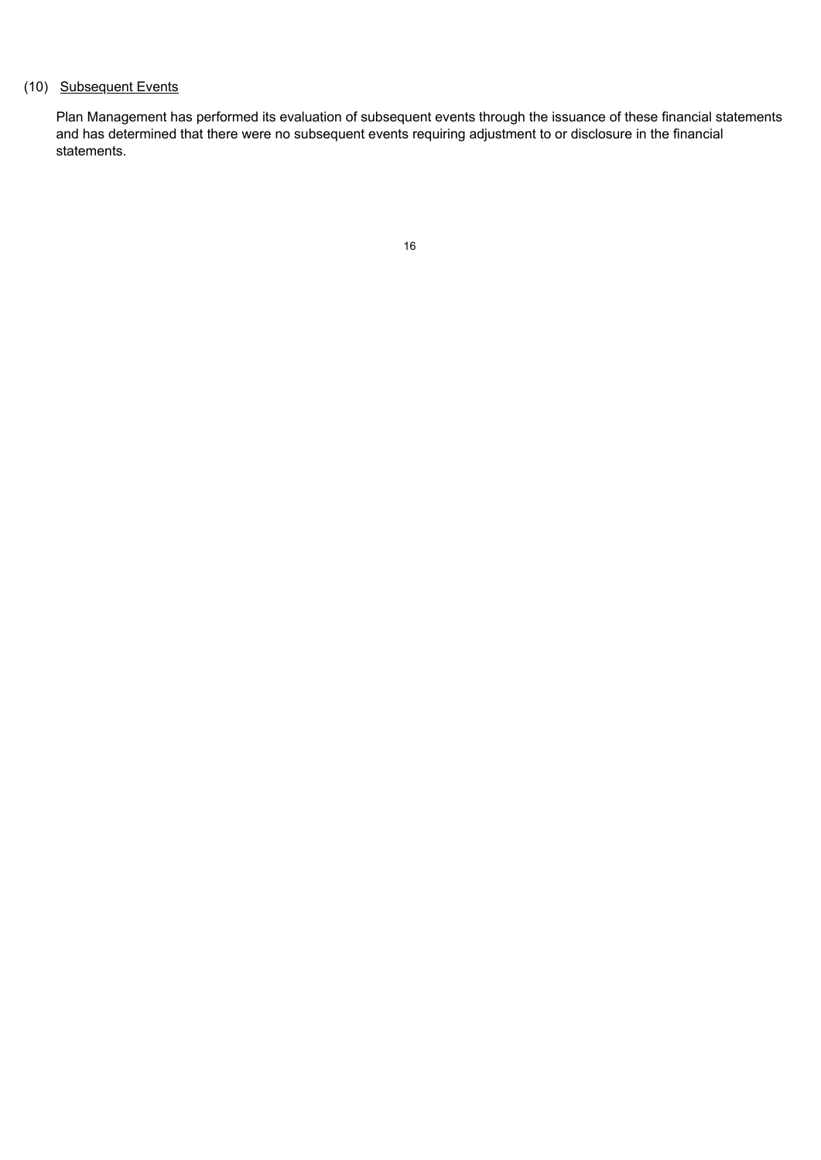## (10) Subsequent Events

Plan Management has performed its evaluation of subsequent events through the issuance of these financial statements and has determined that there were no subsequent events requiring adjustment to or disclosure in the financial statements.

|    | ٠            |
|----|--------------|
| I  |              |
| ×. |              |
|    | I<br>×<br>۰. |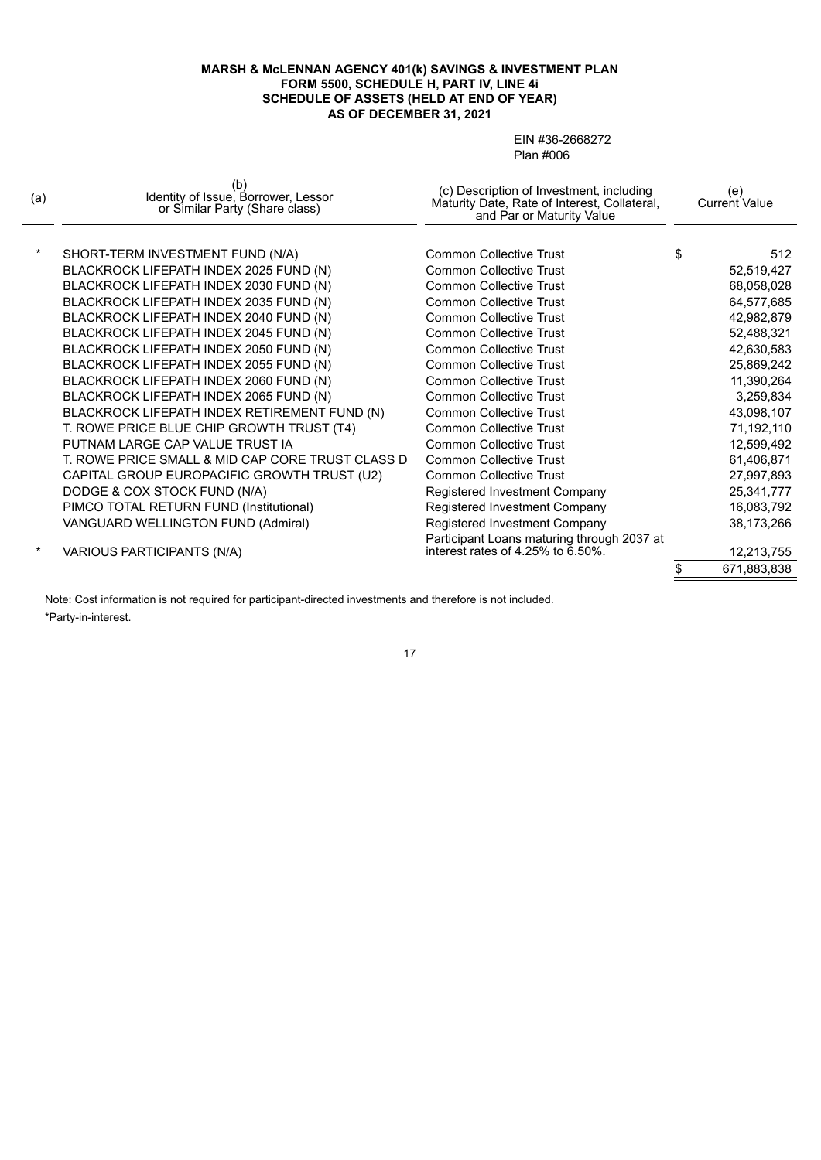#### **MARSH & McLENNAN AGENCY 401(k) SAVINGS & INVESTMENT PLAN FORM 5500, SCHEDULE H, PART IV, LINE 4i SCHEDULE OF ASSETS (HELD AT END OF YEAR) AS OF DECEMBER 31, 2021**

EIN #36-2668272 Plan #006

| $\star$<br><b>Common Collective Trust</b><br>\$<br>512<br>SHORT-TERM INVESTMENT FUND (N/A)<br>BLACKROCK LIFEPATH INDEX 2025 FUND (N)<br>52,519,427<br><b>Common Collective Trust</b><br>BLACKROCK LIFEPATH INDEX 2030 FUND (N)<br><b>Common Collective Trust</b><br>68,058,028<br>BLACKROCK LIFEPATH INDEX 2035 FUND (N)<br>64,577,685<br>Common Collective Trust<br>BLACKROCK LIFEPATH INDEX 2040 FUND (N)<br>Common Collective Trust<br>42,982,879<br>BLACKROCK LIFEPATH INDEX 2045 FUND (N)<br>Common Collective Trust<br>52,488,321<br>BLACKROCK LIFEPATH INDEX 2050 FUND (N)<br>42,630,583<br><b>Common Collective Trust</b><br>BLACKROCK LIFEPATH INDEX 2055 FUND (N)<br><b>Common Collective Trust</b><br>25,869,242<br>BLACKROCK LIFEPATH INDEX 2060 FUND (N)<br>11,390,264<br><b>Common Collective Trust</b><br>BLACKROCK LIFEPATH INDEX 2065 FUND (N)<br>3,259,834<br><b>Common Collective Trust</b><br>BLACKROCK LIFEPATH INDEX RETIREMENT FUND (N)<br>43,098,107<br><b>Common Collective Trust</b><br>T. ROWE PRICE BLUE CHIP GROWTH TRUST (T4)<br>Common Collective Trust<br>71,192,110<br>PUTNAM LARGE CAP VALUE TRUST IA<br>12,599,492<br>Common Collective Trust<br>T. ROWE PRICE SMALL & MID CAP CORE TRUST CLASS D<br><b>Common Collective Trust</b><br>61,406,871<br>CAPITAL GROUP EUROPACIFIC GROWTH TRUST (U2)<br>27,997,893<br><b>Common Collective Trust</b><br>DODGE & COX STOCK FUND (N/A)<br>Registered Investment Company<br>25,341,777<br>PIMCO TOTAL RETURN FUND (Institutional)<br>Registered Investment Company<br>16,083,792<br>VANGUARD WELLINGTON FUND (Admiral)<br>Registered Investment Company<br>38,173,266<br>Participant Loans maturing through 2037 at<br>interest rates of 4.25% to 6.50%.<br>$\ast$<br>VARIOUS PARTICIPANTS (N/A)<br>12,213,755<br>671,883,838 | (a) | D.<br>Identity of Issue, Borrower, Lessor<br>or Similar Party (Share class) | (c) Description of Investment, including<br>Maturity Date, Rate of Interest, Collateral,<br>and Par or Maturity Value | (e)<br>Current Value |
|-----------------------------------------------------------------------------------------------------------------------------------------------------------------------------------------------------------------------------------------------------------------------------------------------------------------------------------------------------------------------------------------------------------------------------------------------------------------------------------------------------------------------------------------------------------------------------------------------------------------------------------------------------------------------------------------------------------------------------------------------------------------------------------------------------------------------------------------------------------------------------------------------------------------------------------------------------------------------------------------------------------------------------------------------------------------------------------------------------------------------------------------------------------------------------------------------------------------------------------------------------------------------------------------------------------------------------------------------------------------------------------------------------------------------------------------------------------------------------------------------------------------------------------------------------------------------------------------------------------------------------------------------------------------------------------------------------------------------------------------------------------------------------------------------------------|-----|-----------------------------------------------------------------------------|-----------------------------------------------------------------------------------------------------------------------|----------------------|
|                                                                                                                                                                                                                                                                                                                                                                                                                                                                                                                                                                                                                                                                                                                                                                                                                                                                                                                                                                                                                                                                                                                                                                                                                                                                                                                                                                                                                                                                                                                                                                                                                                                                                                                                                                                                           |     |                                                                             |                                                                                                                       |                      |
|                                                                                                                                                                                                                                                                                                                                                                                                                                                                                                                                                                                                                                                                                                                                                                                                                                                                                                                                                                                                                                                                                                                                                                                                                                                                                                                                                                                                                                                                                                                                                                                                                                                                                                                                                                                                           |     |                                                                             |                                                                                                                       |                      |
|                                                                                                                                                                                                                                                                                                                                                                                                                                                                                                                                                                                                                                                                                                                                                                                                                                                                                                                                                                                                                                                                                                                                                                                                                                                                                                                                                                                                                                                                                                                                                                                                                                                                                                                                                                                                           |     |                                                                             |                                                                                                                       |                      |
|                                                                                                                                                                                                                                                                                                                                                                                                                                                                                                                                                                                                                                                                                                                                                                                                                                                                                                                                                                                                                                                                                                                                                                                                                                                                                                                                                                                                                                                                                                                                                                                                                                                                                                                                                                                                           |     |                                                                             |                                                                                                                       |                      |
|                                                                                                                                                                                                                                                                                                                                                                                                                                                                                                                                                                                                                                                                                                                                                                                                                                                                                                                                                                                                                                                                                                                                                                                                                                                                                                                                                                                                                                                                                                                                                                                                                                                                                                                                                                                                           |     |                                                                             |                                                                                                                       |                      |
|                                                                                                                                                                                                                                                                                                                                                                                                                                                                                                                                                                                                                                                                                                                                                                                                                                                                                                                                                                                                                                                                                                                                                                                                                                                                                                                                                                                                                                                                                                                                                                                                                                                                                                                                                                                                           |     |                                                                             |                                                                                                                       |                      |
|                                                                                                                                                                                                                                                                                                                                                                                                                                                                                                                                                                                                                                                                                                                                                                                                                                                                                                                                                                                                                                                                                                                                                                                                                                                                                                                                                                                                                                                                                                                                                                                                                                                                                                                                                                                                           |     |                                                                             |                                                                                                                       |                      |
|                                                                                                                                                                                                                                                                                                                                                                                                                                                                                                                                                                                                                                                                                                                                                                                                                                                                                                                                                                                                                                                                                                                                                                                                                                                                                                                                                                                                                                                                                                                                                                                                                                                                                                                                                                                                           |     |                                                                             |                                                                                                                       |                      |
|                                                                                                                                                                                                                                                                                                                                                                                                                                                                                                                                                                                                                                                                                                                                                                                                                                                                                                                                                                                                                                                                                                                                                                                                                                                                                                                                                                                                                                                                                                                                                                                                                                                                                                                                                                                                           |     |                                                                             |                                                                                                                       |                      |
|                                                                                                                                                                                                                                                                                                                                                                                                                                                                                                                                                                                                                                                                                                                                                                                                                                                                                                                                                                                                                                                                                                                                                                                                                                                                                                                                                                                                                                                                                                                                                                                                                                                                                                                                                                                                           |     |                                                                             |                                                                                                                       |                      |
|                                                                                                                                                                                                                                                                                                                                                                                                                                                                                                                                                                                                                                                                                                                                                                                                                                                                                                                                                                                                                                                                                                                                                                                                                                                                                                                                                                                                                                                                                                                                                                                                                                                                                                                                                                                                           |     |                                                                             |                                                                                                                       |                      |
|                                                                                                                                                                                                                                                                                                                                                                                                                                                                                                                                                                                                                                                                                                                                                                                                                                                                                                                                                                                                                                                                                                                                                                                                                                                                                                                                                                                                                                                                                                                                                                                                                                                                                                                                                                                                           |     |                                                                             |                                                                                                                       |                      |
|                                                                                                                                                                                                                                                                                                                                                                                                                                                                                                                                                                                                                                                                                                                                                                                                                                                                                                                                                                                                                                                                                                                                                                                                                                                                                                                                                                                                                                                                                                                                                                                                                                                                                                                                                                                                           |     |                                                                             |                                                                                                                       |                      |
|                                                                                                                                                                                                                                                                                                                                                                                                                                                                                                                                                                                                                                                                                                                                                                                                                                                                                                                                                                                                                                                                                                                                                                                                                                                                                                                                                                                                                                                                                                                                                                                                                                                                                                                                                                                                           |     |                                                                             |                                                                                                                       |                      |
|                                                                                                                                                                                                                                                                                                                                                                                                                                                                                                                                                                                                                                                                                                                                                                                                                                                                                                                                                                                                                                                                                                                                                                                                                                                                                                                                                                                                                                                                                                                                                                                                                                                                                                                                                                                                           |     |                                                                             |                                                                                                                       |                      |
|                                                                                                                                                                                                                                                                                                                                                                                                                                                                                                                                                                                                                                                                                                                                                                                                                                                                                                                                                                                                                                                                                                                                                                                                                                                                                                                                                                                                                                                                                                                                                                                                                                                                                                                                                                                                           |     |                                                                             |                                                                                                                       |                      |
|                                                                                                                                                                                                                                                                                                                                                                                                                                                                                                                                                                                                                                                                                                                                                                                                                                                                                                                                                                                                                                                                                                                                                                                                                                                                                                                                                                                                                                                                                                                                                                                                                                                                                                                                                                                                           |     |                                                                             |                                                                                                                       |                      |
|                                                                                                                                                                                                                                                                                                                                                                                                                                                                                                                                                                                                                                                                                                                                                                                                                                                                                                                                                                                                                                                                                                                                                                                                                                                                                                                                                                                                                                                                                                                                                                                                                                                                                                                                                                                                           |     |                                                                             |                                                                                                                       |                      |
|                                                                                                                                                                                                                                                                                                                                                                                                                                                                                                                                                                                                                                                                                                                                                                                                                                                                                                                                                                                                                                                                                                                                                                                                                                                                                                                                                                                                                                                                                                                                                                                                                                                                                                                                                                                                           |     |                                                                             |                                                                                                                       |                      |
|                                                                                                                                                                                                                                                                                                                                                                                                                                                                                                                                                                                                                                                                                                                                                                                                                                                                                                                                                                                                                                                                                                                                                                                                                                                                                                                                                                                                                                                                                                                                                                                                                                                                                                                                                                                                           |     |                                                                             |                                                                                                                       |                      |
|                                                                                                                                                                                                                                                                                                                                                                                                                                                                                                                                                                                                                                                                                                                                                                                                                                                                                                                                                                                                                                                                                                                                                                                                                                                                                                                                                                                                                                                                                                                                                                                                                                                                                                                                                                                                           |     |                                                                             |                                                                                                                       |                      |
|                                                                                                                                                                                                                                                                                                                                                                                                                                                                                                                                                                                                                                                                                                                                                                                                                                                                                                                                                                                                                                                                                                                                                                                                                                                                                                                                                                                                                                                                                                                                                                                                                                                                                                                                                                                                           |     |                                                                             |                                                                                                                       |                      |

Note: Cost information is not required for participant-directed investments and therefore is not included. \*Party-in-interest.